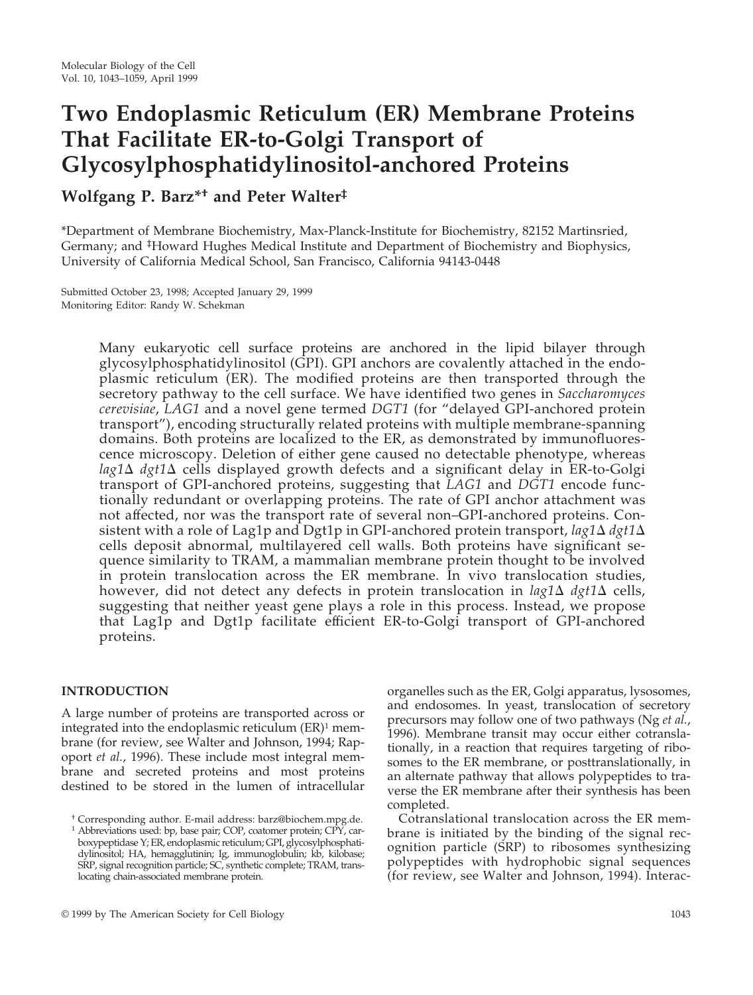# **Two Endoplasmic Reticulum (ER) Membrane Proteins That Facilitate ER-to-Golgi Transport of Glycosylphosphatidylinositol-anchored Proteins**

# **Wolfgang P. Barz\*† and Peter Walter‡**

\*Department of Membrane Biochemistry, Max-Planck-Institute for Biochemistry, 82152 Martinsried, Germany; and <sup>‡</sup>Howard Hughes Medical Institute and Department of Biochemistry and Biophysics, University of California Medical School, San Francisco, California 94143-0448

Submitted October 23, 1998; Accepted January 29, 1999 Monitoring Editor: Randy W. Schekman

> Many eukaryotic cell surface proteins are anchored in the lipid bilayer through glycosylphosphatidylinositol (GPI). GPI anchors are covalently attached in the endoplasmic reticulum (ER). The modified proteins are then transported through the secretory pathway to the cell surface. We have identified two genes in *Saccharomyces cerevisiae*, *LAG1* and a novel gene termed *DGT1* (for "delayed GPI-anchored protein transport"), encoding structurally related proteins with multiple membrane-spanning domains. Both proteins are localized to the ER, as demonstrated by immunofluorescence microscopy. Deletion of either gene caused no detectable phenotype, whereas  $lag1\Delta$  *dgt1* $\Delta$  cells displayed growth defects and a significant delay in ER-to-Golgi transport of GPI-anchored proteins, suggesting that *LAG1* and *DGT1* encode functionally redundant or overlapping proteins. The rate of GPI anchor attachment was not affected, nor was the transport rate of several non–GPI-anchored proteins. Consistent with a role of Lag1p and Dgt1p in GPI-anchored protein transport,  $lag1\Delta$   $dgt1\Delta$ cells deposit abnormal, multilayered cell walls. Both proteins have significant sequence similarity to TRAM, a mammalian membrane protein thought to be involved in protein translocation across the ER membrane. In vivo translocation studies, however, did not detect any defects in protein translocation in  $lag1\Delta$   $dg1\Delta$  cells, suggesting that neither yeast gene plays a role in this process. Instead, we propose that Lag1p and Dgt1p facilitate efficient ER-to-Golgi transport of GPI-anchored proteins.

#### **INTRODUCTION**

A large number of proteins are transported across or integrated into the endoplasmic reticulum  $(ER)^1$  membrane (for review, see Walter and Johnson, 1994; Rapoport *et al.*, 1996). These include most integral membrane and secreted proteins and most proteins destined to be stored in the lumen of intracellular organelles such as the ER, Golgi apparatus, lysosomes, and endosomes. In yeast, translocation of secretory precursors may follow one of two pathways (Ng *et al.*, 1996). Membrane transit may occur either cotranslationally, in a reaction that requires targeting of ribosomes to the ER membrane, or posttranslationally, in an alternate pathway that allows polypeptides to traverse the ER membrane after their synthesis has been completed.

Cotranslational translocation across the ER membrane is initiated by the binding of the signal recognition particle (SRP) to ribosomes synthesizing polypeptides with hydrophobic signal sequences (for review, see Walter and Johnson, 1994). Interac-

<sup>†</sup> Corresponding author. E-mail address: barz@biochem.mpg.de.

<sup>1</sup> Abbreviations used: bp, base pair; COP, coatomer protein; CPY, carboxypeptidase Y; ER, endoplasmic reticulum; GPI, glycosylphosphatidylinositol; HA, hemagglutinin; Ig, immunoglobulin; kb, kilobase; SRP, signal recognition particle; SC, synthetic complete; TRAM, translocating chain-associated membrane protein.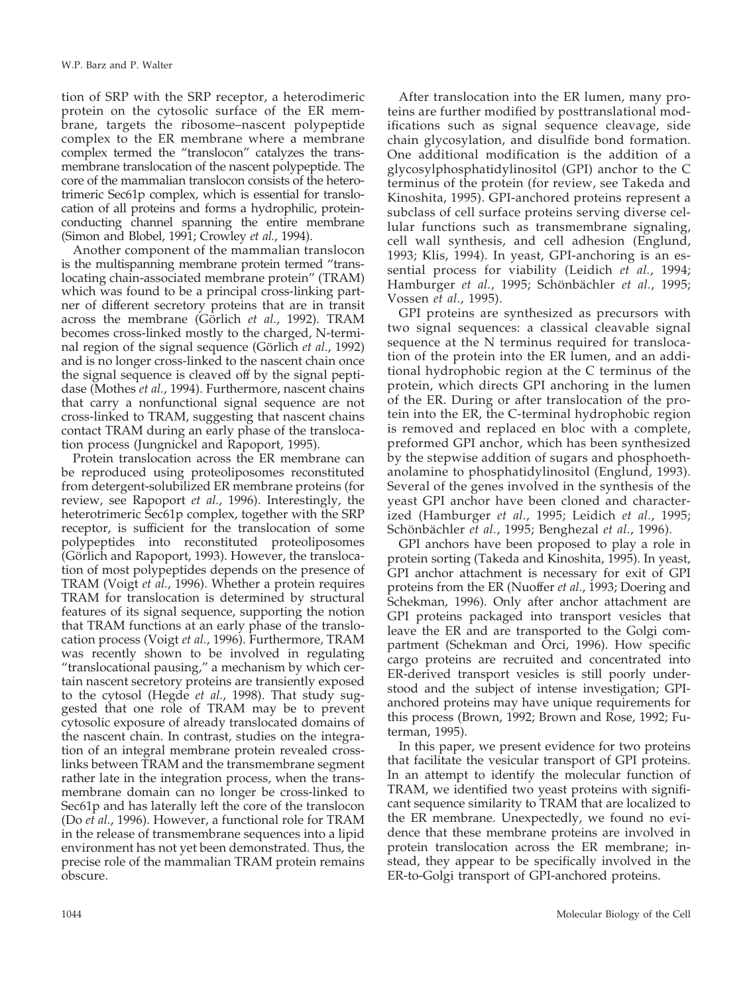tion of SRP with the SRP receptor, a heterodimeric protein on the cytosolic surface of the ER membrane, targets the ribosome–nascent polypeptide complex to the ER membrane where a membrane complex termed the "translocon" catalyzes the transmembrane translocation of the nascent polypeptide. The core of the mammalian translocon consists of the heterotrimeric Sec61p complex, which is essential for translocation of all proteins and forms a hydrophilic, proteinconducting channel spanning the entire membrane (Simon and Blobel, 1991; Crowley *et al.*, 1994).

Another component of the mammalian translocon is the multispanning membrane protein termed "translocating chain-associated membrane protein" (TRAM) which was found to be a principal cross-linking partner of different secretory proteins that are in transit across the membrane (Görlich *et al.*, 1992). TRAM becomes cross-linked mostly to the charged, N-terminal region of the signal sequence (Görlich *et al.*, 1992) and is no longer cross-linked to the nascent chain once the signal sequence is cleaved off by the signal peptidase (Mothes *et al.*, 1994). Furthermore, nascent chains that carry a nonfunctional signal sequence are not cross-linked to TRAM, suggesting that nascent chains contact TRAM during an early phase of the translocation process (Jungnickel and Rapoport, 1995).

Protein translocation across the ER membrane can be reproduced using proteoliposomes reconstituted from detergent-solubilized ER membrane proteins (for review, see Rapoport *et al.*, 1996). Interestingly, the heterotrimeric Sec61p complex, together with the SRP receptor, is sufficient for the translocation of some polypeptides into reconstituted proteoliposomes (Görlich and Rapoport, 1993). However, the translocation of most polypeptides depends on the presence of TRAM (Voigt *et al.*, 1996). Whether a protein requires TRAM for translocation is determined by structural features of its signal sequence, supporting the notion that TRAM functions at an early phase of the translocation process (Voigt *et al.*, 1996). Furthermore, TRAM was recently shown to be involved in regulating "translocational pausing," a mechanism by which certain nascent secretory proteins are transiently exposed to the cytosol (Hegde *et al.*, 1998). That study suggested that one role of TRAM may be to prevent cytosolic exposure of already translocated domains of the nascent chain. In contrast, studies on the integration of an integral membrane protein revealed crosslinks between TRAM and the transmembrane segment rather late in the integration process, when the transmembrane domain can no longer be cross-linked to Sec61p and has laterally left the core of the translocon (Do *et al.*, 1996). However, a functional role for TRAM in the release of transmembrane sequences into a lipid environment has not yet been demonstrated. Thus, the precise role of the mammalian TRAM protein remains obscure.

After translocation into the ER lumen, many proteins are further modified by posttranslational modifications such as signal sequence cleavage, side chain glycosylation, and disulfide bond formation. One additional modification is the addition of a glycosylphosphatidylinositol (GPI) anchor to the C terminus of the protein (for review, see Takeda and Kinoshita, 1995). GPI-anchored proteins represent a subclass of cell surface proteins serving diverse cellular functions such as transmembrane signaling, cell wall synthesis, and cell adhesion (Englund, 1993; Klis, 1994). In yeast, GPI-anchoring is an essential process for viability (Leidich *et al.*, 1994; Hamburger et al., 1995; Schönbächler et al., 1995; Vossen *et al.*, 1995).

GPI proteins are synthesized as precursors with two signal sequences: a classical cleavable signal sequence at the N terminus required for translocation of the protein into the ER lumen, and an additional hydrophobic region at the C terminus of the protein, which directs GPI anchoring in the lumen of the ER. During or after translocation of the protein into the ER, the C-terminal hydrophobic region is removed and replaced en bloc with a complete, preformed GPI anchor, which has been synthesized by the stepwise addition of sugars and phosphoethanolamine to phosphatidylinositol (Englund, 1993). Several of the genes involved in the synthesis of the yeast GPI anchor have been cloned and characterized (Hamburger *et al.*, 1995; Leidich *et al.*, 1995; Schönbächler et al., 1995; Benghezal et al., 1996).

GPI anchors have been proposed to play a role in protein sorting (Takeda and Kinoshita, 1995). In yeast, GPI anchor attachment is necessary for exit of GPI proteins from the ER (Nuoffer *et al.*, 1993; Doering and Schekman, 1996). Only after anchor attachment are GPI proteins packaged into transport vesicles that leave the ER and are transported to the Golgi compartment (Schekman and Orci, 1996). How specific cargo proteins are recruited and concentrated into ER-derived transport vesicles is still poorly understood and the subject of intense investigation; GPIanchored proteins may have unique requirements for this process (Brown, 1992; Brown and Rose, 1992; Futerman, 1995).

In this paper, we present evidence for two proteins that facilitate the vesicular transport of GPI proteins. In an attempt to identify the molecular function of TRAM, we identified two yeast proteins with significant sequence similarity to TRAM that are localized to the ER membrane. Unexpectedly, we found no evidence that these membrane proteins are involved in protein translocation across the ER membrane; instead, they appear to be specifically involved in the ER-to-Golgi transport of GPI-anchored proteins.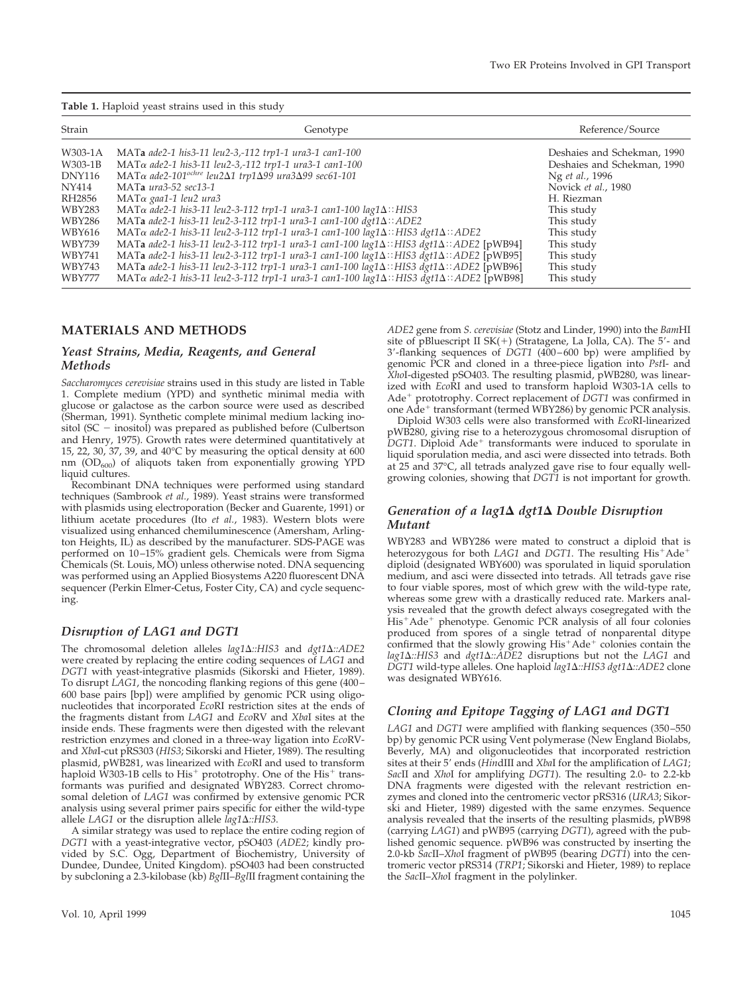**Table 1.** Haploid yeast strains used in this study

| Strain        | Genotype                                                                                                          | Reference/Source            |
|---------------|-------------------------------------------------------------------------------------------------------------------|-----------------------------|
| W303-1A       | MATa ade2-1 his3-11 leu2-3,-112 trp1-1 ura3-1 can1-100                                                            | Deshaies and Schekman, 1990 |
| W303-1B       | $MAT\alpha$ ade2-1 his3-11 leu2-3,-112 trp1-1 ura3-1 can1-100                                                     | Deshaies and Schekman, 1990 |
| <b>DNY116</b> | MAT $\alpha$ ade2-101 <sup>ochre</sup> leu2 $\Delta$ 1 trp1 $\Delta$ 99 ura3 $\Delta$ 99 sec61-101                | Ng et al., 1996             |
| NY414         | MATa ura3-52 sec13-1                                                                                              | Novick et al., 1980         |
| RH2856        | $MAT\alpha$ gaa1-1 leu2 ura3                                                                                      | H. Riezman                  |
| WBY283        | MATα ade2-1 his3-11 leu2-3-112 trp1-1 ura3-1 can1-100 lag1Δ:: HIS3                                                | This study                  |
| WBY286        | MATa ade2-1 his3-11 leu2-3-112 trp1-1 ura3-1 can1-100 dgt1 $\Delta$ :: ADE2                                       | This study                  |
| WBY616        | MAT $\alpha$ ade2-1 his3-11 leu2-3-112 trp1-1 ura3-1 can1-100 lag1 $\Delta$ :: HIS3 dgt1 $\Delta$ :: ADE2         | This study                  |
| WBY739        | MATa ade2-1 his3-11 leu2-3-112 trp1-1 ura3-1 can1-100 lag1 $\Delta$ :: HIS3 dgt1 $\Delta$ :: ADE2 [pWB94]         | This study                  |
| WBY741        | MATa ade2-1 his3-11 leu2-3-112 trp1-1 ura3-1 can1-100 lag1 $\Delta$ :: HIS3 dgt1 $\Delta$ :: ADE2 [pWB95]         | This study                  |
| WBY743        | MATa ade2-1 his3-11 leu2-3-112 trp1-1 ura3-1 can1-100 lag1 $\Delta$ :: HIS3 dgt1 $\Delta$ :: ADE2 [pWB96]         | This study                  |
| <b>WBY777</b> | MAT $\alpha$ ade2-1 his3-11 leu2-3-112 trp1-1 ura3-1 can1-100 lag1 $\Delta$ :: HIS3 dgt1 $\Delta$ :: ADE2 [pWB98] | This study                  |

#### **MATERIALS AND METHODS**

#### *Yeast Strains, Media, Reagents, and General Methods*

*Saccharomyces cerevisiae* strains used in this study are listed in Table 1. Complete medium (YPD) and synthetic minimal media with glucose or galactose as the carbon source were used as described (Sherman, 1991). Synthetic complete minimal medium lacking inositol (SC  $-$  inositol) was prepared as published before (Culbertson and Henry, 1975). Growth rates were determined quantitatively at 15, 22, 30, 37, 39, and 40°C by measuring the optical density at 600 nm  $(OD_{600})$  of aliquots taken from exponentially growing YPD liquid cultures.

Recombinant DNA techniques were performed using standard techniques (Sambrook *et al.*, 1989). Yeast strains were transformed with plasmids using electroporation (Becker and Guarente, 1991) or lithium acetate procedures (Ito *et al.*, 1983). Western blots were visualized using enhanced chemiluminescence (Amersham, Arlington Heights, IL) as described by the manufacturer. SDS-PAGE was performed on 10–15% gradient gels. Chemicals were from Sigma Chemicals (St. Louis, MO) unless otherwise noted. DNA sequencing was performed using an Applied Biosystems A220 fluorescent DNA sequencer (Perkin Elmer-Cetus, Foster City, CA) and cycle sequencing.

#### *Disruption of LAG1 and DGT1*

The chromosomal deletion alleles *lag1* $\Delta$ ::HIS3 and *dgt1* $\Delta$ ::ADE2 were created by replacing the entire coding sequences of *LAG1* and *DGT1* with yeast-integrative plasmids (Sikorski and Hieter, 1989). To disrupt *LAG1*, the noncoding flanking regions of this gene (400– 600 base pairs [bp]) were amplified by genomic PCR using oligonucleotides that incorporated *Eco*RI restriction sites at the ends of the fragments distant from *LAG1* and *Eco*RV and *Xba*I sites at the inside ends. These fragments were then digested with the relevant restriction enzymes and cloned in a three-way ligation into *Eco*RVand *Xba*I-cut pRS303 (*HIS3*; Sikorski and Hieter, 1989). The resulting plasmid, pWB281, was linearized with *Eco*RI and used to transform haploid W303-1B cells to  $His<sup>+</sup>$  prototrophy. One of the  $His<sup>+</sup>$  transformants was purified and designated WBY283. Correct chromosomal deletion of *LAG1* was confirmed by extensive genomic PCR analysis using several primer pairs specific for either the wild-type allele *LAG1* or the disruption allele *lag1* $\Delta$ ::HIS3.

A similar strategy was used to replace the entire coding region of *DGT1* with a yeast-integrative vector, pSO403 (*ADE2*; kindly provided by S.C. Ogg, Department of Biochemistry, University of Dundee, Dundee, United Kingdom). pSO403 had been constructed by subcloning a 2.3-kilobase (kb) *Bgl*II–*Bgl*II fragment containing the *ADE2* gene from *S. cerevisiae* (Stotz and Linder, 1990) into the *Bam*HI site of pBluescript II  $SK(+)$  (Stratagene, La Jolla, CA). The 5'- and 3'-flanking sequences of *DGT1* (400–600 bp) were amplified by genomic PCR and cloned in a three-piece ligation into *Pst*I- and *Xho*I-digested pSO403. The resulting plasmid, pWB280, was linearized with *Eco*RI and used to transform haploid W303-1A cells to Ade<sup>+</sup> prototrophy. Correct replacement of DGT1 was confirmed in one Ade<sup>+</sup> transformant (termed WBY286) by genomic PCR analysis.

Diploid W303 cells were also transformed with *Eco*RI-linearized pWB280, giving rise to a heterozygous chromosomal disruption of DGT1. Diploid Ade<sup>+</sup> transformants were induced to sporulate in liquid sporulation media, and asci were dissected into tetrads. Both at 25 and 37°C, all tetrads analyzed gave rise to four equally wellgrowing colonies, showing that *DGT1* is not important for growth.

#### *Generation of a lag1*D *dgt1*D *Double Disruption Mutant*

WBY283 and WBY286 were mated to construct a diploid that is heterozygous for both *LAG1* and *DGT1*. The resulting His<sup>+</sup>Ade<sup>+</sup> diploid (designated WBY600) was sporulated in liquid sporulation medium, and asci were dissected into tetrads. All tetrads gave rise to four viable spores, most of which grew with the wild-type rate, whereas some grew with a drastically reduced rate. Markers analysis revealed that the growth defect always cosegregated with the His<sup>+</sup>Ade<sup>+</sup> phenotype. Genomic PCR analysis of all four colonies produced from spores of a single tetrad of nonparental ditype confirmed that the slowly growing His<sup>+</sup>Ade<sup>+</sup> colonies contain the *lag1*D*::HIS3* and *dgt1*D*::ADE2* disruptions but not the *LAG1* and *DGT1* wild-type alleles. One haploid *lag1* $\Delta$ ::*HIS3 dgt1* $\Delta$ ::*ADE2* clone was designated WBY616.

#### *Cloning and Epitope Tagging of LAG1 and DGT1*

*LAG1* and *DGT1* were amplified with flanking sequences (350–550 bp) by genomic PCR using Vent polymerase (New England Biolabs, Beverly, MA) and oligonucleotides that incorporated restriction sites at their 5' ends (*HindIII* and *XbaI* for the amplification of *LAG1*; *Sac*II and *Xho*I for amplifying *DGT1*). The resulting 2.0- to 2.2-kb DNA fragments were digested with the relevant restriction enzymes and cloned into the centromeric vector pRS316 (*URA3*; Sikorski and Hieter, 1989) digested with the same enzymes. Sequence analysis revealed that the inserts of the resulting plasmids, pWB98 (carrying *LAG1*) and pWB95 (carrying *DGT1*), agreed with the published genomic sequence. pWB96 was constructed by inserting the 2.0-kb *Sac*II–*Xho*I fragment of pWB95 (bearing *DGT1*) into the centromeric vector pRS314 (*TRP1*; Sikorski and Hieter, 1989) to replace the *Sac*II–*Xho*I fragment in the polylinker.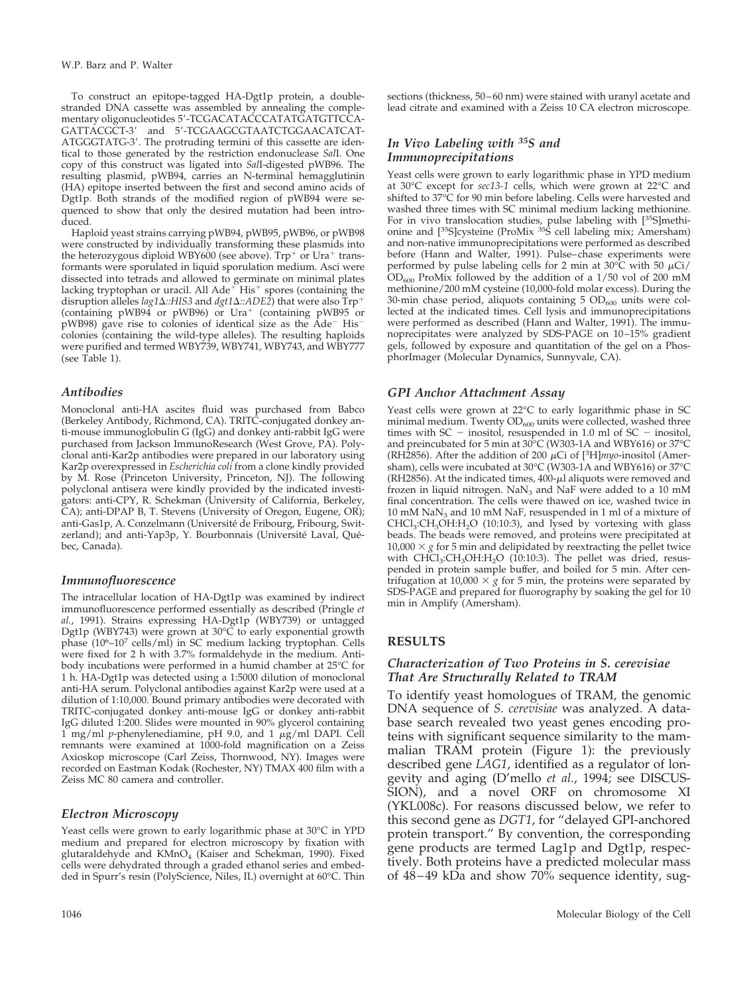To construct an epitope-tagged HA-Dgt1p protein, a doublestranded DNA cassette was assembled by annealing the complementary oligonucleotides 5'-TCGACATACCCATATGATGTTCCA-GATTACGCT-3' and 5'-TCGAAGCGTAATCTGGAACATCAT-ATGGGTATG-3'. The protruding termini of this cassette are identical to those generated by the restriction endonuclease *Sal*I. One copy of this construct was ligated into *Sal*I-digested pWB96. The resulting plasmid, pWB94, carries an N-terminal hemagglutinin (HA) epitope inserted between the first and second amino acids of Dgt1p. Both strands of the modified region of pWB94 were sequenced to show that only the desired mutation had been introduced.

Haploid yeast strains carrying pWB94, pWB95, pWB96, or pWB98 were constructed by individually transforming these plasmids into the heterozygous diploid WBY600 (see above).  $Trp^+$  or Ura<sup>+</sup> transformants were sporulated in liquid sporulation medium. Asci were dissected into tetrads and allowed to germinate on minimal plates<br>lacking tryptophan or uracil. All Ade<sup>+</sup> His<sup>+</sup> spores (containing the disruption alleles *lag1* $\Delta$ ::HIS3 and *dgt1* $\Delta$ ::ADE2) that were also  $\text{Trp}^+$ (containing pWB94 or pWB96) or  $Ura^+$  (containing pWB95 or pWB98) gave rise to colonies of identical size as the Ade<sup>-</sup> His<sup>-</sup> colonies (containing the wild-type alleles). The resulting haploids were purified and termed WBY739, WBY741, WBY743, and WBY777 (see Table 1).

#### *Antibodies*

Monoclonal anti-HA ascites fluid was purchased from Babco (Berkeley Antibody, Richmond, CA). TRITC-conjugated donkey anti-mouse immunoglobulin G (IgG) and donkey anti-rabbit IgG were purchased from Jackson ImmunoResearch (West Grove, PA). Polyclonal anti-Kar2p antibodies were prepared in our laboratory using Kar2p overexpressed in *Escherichia coli* from a clone kindly provided by M. Rose (Princeton University, Princeton, NJ). The following polyclonal antisera were kindly provided by the indicated investigators: anti-CPY, R. Schekman (University of California, Berkeley, CA); anti-DPAP B, T. Stevens (University of Oregon, Eugene, OR); anti-Gas1p, A. Conzelmann (Université de Fribourg, Fribourg, Switzerland); and anti-Yap3p, Y. Bourbonnais (Université Laval, Québec, Canada).

#### *Immunofluorescence*

The intracellular location of HA-Dgt1p was examined by indirect immunofluorescence performed essentially as described (Pringle *et al.*, 1991). Strains expressing HA-Dgt1p (WBY739) or untagged Dgt1p (WBY743) were grown at 30°C to early exponential growth phase (10<sup>6</sup>-10<sup>7</sup> cells/ml) in SC medium lacking tryptophan. Cells were fixed for 2 h with 3.7% formaldehyde in the medium. Antibody incubations were performed in a humid chamber at 25°C for 1 h. HA-Dgt1p was detected using a 1:5000 dilution of monoclonal anti-HA serum. Polyclonal antibodies against Kar2p were used at a dilution of 1:10,000. Bound primary antibodies were decorated with TRITC-conjugated donkey anti-mouse IgG or donkey anti-rabbit IgG diluted 1:200. Slides were mounted in 90% glycerol containing  $1$  mg/ml *p*-phenylenediamine, pH 9.0, and  $1 \mu g/ml$  DAPI. Cell remnants were examined at 1000-fold magnification on a Zeiss Axioskop microscope (Carl Zeiss, Thornwood, NY). Images were recorded on Eastman Kodak (Rochester, NY) TMAX 400 film with a Zeiss MC 80 camera and controller.

#### *Electron Microscopy*

Yeast cells were grown to early logarithmic phase at 30°C in YPD medium and prepared for electron microscopy by fixation with glutaraldehyde and KMnO<sub>4</sub> (Kaiser and Schekman, 1990). Fixed cells were dehydrated through a graded ethanol series and embedded in Spurr's resin (PolyScience, Niles, IL) overnight at 60°C. Thin sections (thickness, 50–60 nm) were stained with uranyl acetate and lead citrate and examined with a Zeiss 10 CA electron microscope.

#### *In Vivo Labeling with 35S and Immunoprecipitations*

Yeast cells were grown to early logarithmic phase in YPD medium at 30°C except for *sec13-1* cells, which were grown at 22°C and shifted to 37°C for 90 min before labeling. Cells were harvested and washed three times with SC minimal medium lacking methionine. For in vivo translocation studies, pulse labeling with [<sup>35</sup>S]methionine and [<sup>35</sup>S]cysteine (ProMix <sup>35</sup>S cell labeling mix; Amersham) and non-native immunoprecipitations were performed as described before (Hann and Walter, 1991). Pulse–chase experiments were performed by pulse labeling cells for 2 min at  $30^{\circ}$ C with 50  $\mu$ Ci/  $OD_{600}$  ProMix followed by the addition of a 1/50 vol of 200 mM methionine/200 mM cysteine (10,000-fold molar excess). During the 30-min chase period, aliquots containing 5  $OD<sub>600</sub>$  units were collected at the indicated times. Cell lysis and immunoprecipitations were performed as described (Hann and Walter, 1991). The immunoprecipitates were analyzed by SDS-PAGE on 10–15% gradient gels, followed by exposure and quantitation of the gel on a PhosphorImager (Molecular Dynamics, Sunnyvale, CA).

#### *GPI Anchor Attachment Assay*

Yeast cells were grown at 22°C to early logarithmic phase in SC minimal medium. Twenty  $OD_{600}$  units were collected, washed three times with  $SC -$  inositol, resuspended in 1.0 ml of  $SC -$  inositol, and preincubated for 5 min at 30°C (W303-1A and WBY616) or 37°C (RH2856). After the addition of 200  $\mu$ Ci of [<sup>3</sup>H]*myo*-inositol (Amersham), cells were incubated at 30°C (W303-1A and WBY616) or 37°C (RH2856). At the indicated times,  $400$ - $\mu$ l aliquots were removed and frozen in liquid nitrogen.  $NaN<sub>3</sub>$  and  $NaF$  were added to a 10 mM final concentration. The cells were thawed on ice, washed twice in 10 mM NaN3 and 10 mM NaF, resuspended in 1 ml of a mixture of  $CHCl<sub>3</sub>:CH<sub>3</sub>OH:H<sub>2</sub>O$  (10:10:3), and lysed by vortexing with glass beads. The beads were removed, and proteins were precipitated at  $10,000 \times g$  for 5 min and delipidated by reextracting the pellet twice with  $CH\ddot{Cl}_3:CH_3OH:H_2O$  (10:10:3). The pellet was dried, resuspended in protein sample buffer, and boiled for 5 min. After centrifugation at 10,000  $\times g$  for 5 min, the proteins were separated by SDS-PAGE and prepared for fluorography by soaking the gel for  $10$ min in Amplify (Amersham).

# **RESULTS**

#### *Characterization of Two Proteins in S. cerevisiae That Are Structurally Related to TRAM*

To identify yeast homologues of TRAM, the genomic DNA sequence of *S. cerevisiae* was analyzed. A database search revealed two yeast genes encoding proteins with significant sequence similarity to the mammalian TRAM protein (Figure 1): the previously described gene *LAG1*, identified as a regulator of longevity and aging (D'mello *et al.*, 1994; see DISCUS-SION), and a novel ORF on chromosome XI (YKL008c). For reasons discussed below, we refer to this second gene as *DGT1*, for "delayed GPI-anchored protein transport." By convention, the corresponding gene products are termed Lag1p and Dgt1p, respectively. Both proteins have a predicted molecular mass of  $48-49$  kDa and show  $70\%$  sequence identity, sug-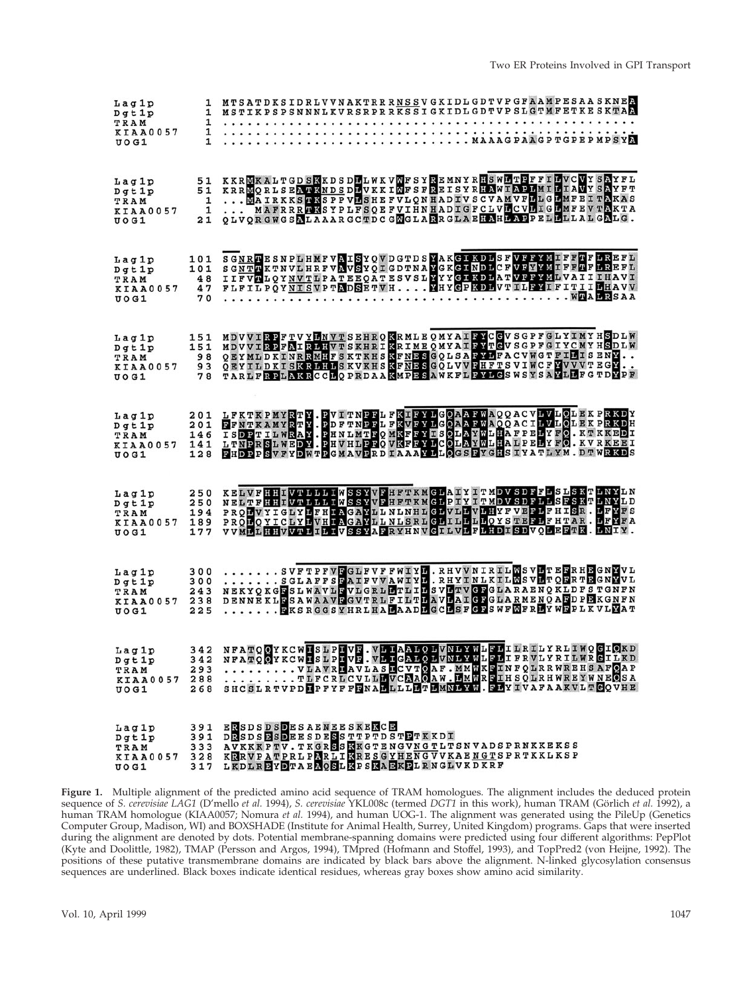| 1<br>Lag1p<br>Dqt1p<br>1<br>TRAM<br>1<br>KIAA0057<br>1<br>UO G1                             | MTSATDKSIDRLVVNAKTRRRNSSVGKIDLGDTVPGFAAMPESAASKNER<br>1 MSTIKPSPSNNNLKVRSRPRRKSSIGKIDLGDTVPSLGTMFETKESKTAA<br>MAAAGPAAGPTGPEPMPSYA                                                                                                                                          |
|---------------------------------------------------------------------------------------------|-----------------------------------------------------------------------------------------------------------------------------------------------------------------------------------------------------------------------------------------------------------------------------|
| 51<br>Lag1p<br>51<br>$D$ gt $1$ p<br>$\mathbf{1}$<br>TRAM<br>1<br>KIAA0057<br>21<br>U O G 1 | KKRMKALTGDSKKDSDELWKVMFSYREMNYRHSWETDFFILVCVYSAYFL<br>KRRMORLSEATKNDSDLVKKIMFSFREISYRHAWIAPLMILIAVYSAYFT<br>MAIRKKS HASPPVLSHEFVLQNHADIVSCVAMVFLLGLMFEITAKAS<br>MAFRRRRSYPLFSQEFVIHNHADIGFCLVLCVLIGLMFEVTAKTA<br>QLVQRGWGSALAAARGCTDCGMGLARRGLAEHAHLAPPELLLLLLLGALG.        |
| 101<br>Lag1p<br>101<br>$D$ gt $1$ p<br>48<br>TRAM<br>47<br><b>KIAA0057</b><br>70<br>U O G1  | SGNRTESNPLHMFVAISYQVDGTDSYAKGIKDLSFVFFYMIFFTFLREFL<br>SCNTR KTNVL HRFVNVSYČI GDTNA VGK GI NDLCF VFYVMLFF PFLREFL<br>SGNTR KTNVL HRFVNVSYČI GDTNA VGK GI NDLCF VFYVMLVAI I I HAVI<br>FLFILPOYNISVPTADSETVH EHYGPKDLVTILFYIFITILLAVV<br>. WTALRSAA<br>.                       |
| 151<br>Lag1p<br>151<br>Dqt1p<br>98<br>TRAM<br>93<br>KIAA0057<br>78<br>$U$ OG1               | MDVVIRPFTVYLNVTSEHRQKRMLEQMYAIRYCGVSGPFGLYIMYHSDLW<br>MDVVIRPFAIR LIVTSKHRIKRIME QMYAIRVTGVSGPFGIYCMYHSDLW<br>QEYMLDKINRRMHFSKTKHSKFNESGQLSAFYLFACVWGTFILISENY<br>QEYILDKISKRIHISKVKHSKFNESGQLVVFHFTSVIWCFYVVVTEGY<br>TARLFRPLAKRCCLQPRDAAKMPESAWKFLFYLGSWSYSAYLLFGTDVPF    |
| 201<br>Lag1p<br>201<br>$D$ gt $1$ p<br>146<br>TRAM<br>KIAA0057 141<br>128<br>UOG1           | LFKTKPMYRTY.PVITNPPLFKTFYLGOAAFWAQQACVLVLOLEKPRKDY<br>EFNTKAMYRTY.PDFTNPPLFKVFYLGOAAFWAQQACILVLOLEKPRKDH<br>ISDPTILWRAY.PHNLMTFQMKFFYLSOLAYWLHAFPELYFO.KTKKEDI<br>LTNPRSLWEDY.PHVHLPFQVKFFYLGOLAYWLHAIPELYFO.KTKKEBI<br>LTNPRSLWEDY.PHVHLP                                  |
| 250<br>Lag1p<br>250<br>$D$ gt $1$ p<br>194<br>TRAM<br>KIAA0057 189<br>177<br>U O G1         | KELVFHHEVTLLLIWSSYVFHFTKMGLAIYITMDVSDFFLSLSKTLNYLN<br>NELTFHHIVTLLLIWSSYVFHFTKMGLPIYITMDVSDFLLSFSKTLNYLD<br>PRODVYIGLYLFHIAGAYLLNLNHLGLVLLVLHYFVEFLFHISR.LFYFS<br>PROLOYICLYLVHIAGAYLLNLSRLGLILLLLOYSTEELFHTAR. LFYFA<br>VVMLLHHVVTLILIVSSYAFRYHNVGILVLFLHDISDVQLEFTK.LNIY. |
| 300<br>Laglp<br>300<br>$D$ gt 1 $p$<br>243<br>TRAM<br>KIAA0057 238<br>225<br>U O G1         | SVFTPFVFGLFVFFWIYL.RHVVNIRILMSVLTEFRHEGNYVL<br>SGLAFFSEAIFVVAWIYD.RHYINLKILMSVLTQERTEGNYVL<br>NEKYQKGESLWAVLEVLGRLETLIESVETVGFGLARAENQKLDFSTGNFN<br>DENNE KLESAWAAVEGVTRLFILTLAVLAIGEGLARMENQAEDPEKGNFN<br>FKSRGGSYHRLHALAADLGCLSFGFSWFMFRLYWFPLKVLYAT                      |
| Lag1p<br>$D$ qt $1$ p<br>293<br>TRAM<br>288<br><b>KIAA0057</b><br>$U$ $O$ $G$ $1$           | 342 NFATOOYKCWHSLPHVE.VLHAALOLVNLYWLFLILRILYRLIWOGIOKD<br>342 NFATOOYKCWHSLPHVE.VLHGALOLVNLYWLFLIFRVLYRILMRGILKD<br>TLFCRLCVLLLVCMAOAW.LMWREIHSQLRHWREYWNEOSA<br>268 SHCSLRTVPD PFYFFENALLLLLTLMNLYN. FLYIVAFAAKVLTCOVHE                                                    |
| 391<br>Lag1p<br>391<br>$D$ gt $1$ p<br>TRAM<br>KIAA0057<br>$U$ $O$ $G$ $1$                  | <b>ERSDSDSDESAENEESKERCE</b><br>DRSDSBSDEESDESSTTPTDSTPTKKDI<br>333 AVKKKPTV.TKGRSSRKGTENGVNGTLTSNVADSPRNKKEKSS<br>328 KRRVPATPRLPNRLIKRESGYHENGVVKAENGTSPRTKKLKSP<br>317 LKDLREYDTAENOSLKPSKAEKELRNGLVKDKRF                                                                |

**Figure 1.** Multiple alignment of the predicted amino acid sequence of TRAM homologues. The alignment includes the deduced protein sequence of *S. cerevisiae LAG1* (D'mello *et al.* 1994), *S. cerevisiae* YKL008c (termed *DGT1* in this work), human TRAM (Görlich *et al.* 1992), a human TRAM homologue (KIAA0057; Nomura *et al.* 1994), and human UOG-1. The alignment was generated using the PileUp (Genetics Computer Group, Madison, WI) and BOXSHADE (Institute for Animal Health, Surrey, United Kingdom) programs. Gaps that were inserted during the alignment are denoted by dots. Potential membrane-spanning domains were predicted using four different algorithms: PepPlot (Kyte and Doolittle, 1982), TMAP (Persson and Argos, 1994), TMpred (Hofmann and Stoffel, 1993), and TopPred2 (von Heijne, 1992). The positions of these putative transmembrane domains are indicated by black bars above the alignment. N-linked glycosylation consensus sequences are underlined. Black boxes indicate identical residues, whereas gray boxes show amino acid similarity.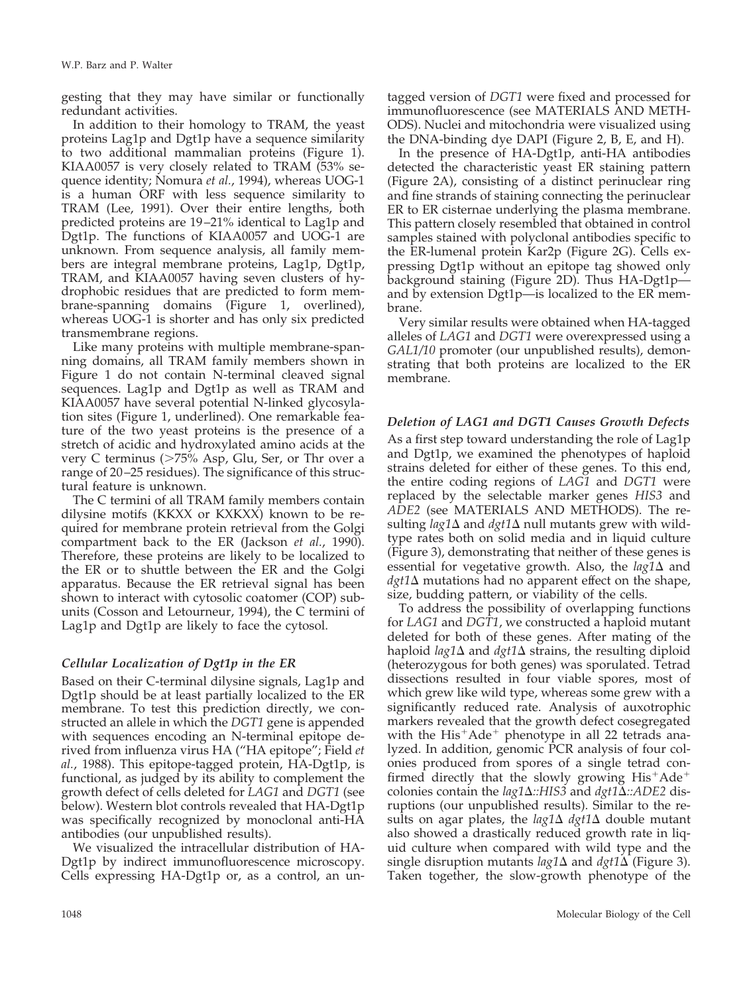gesting that they may have similar or functionally redundant activities.

In addition to their homology to TRAM, the yeast proteins Lag1p and Dgt1p have a sequence similarity to two additional mammalian proteins (Figure 1). KIAA0057 is very closely related to TRAM (53% sequence identity; Nomura *et al.*, 1994), whereas UOG-1 is a human ORF with less sequence similarity to TRAM (Lee, 1991). Over their entire lengths, both predicted proteins are 19–21% identical to Lag1p and Dgt1p. The functions of KIAA0057 and UOG-1 are unknown. From sequence analysis, all family members are integral membrane proteins, Lag1p, Dgt1p, TRAM, and KIAA0057 having seven clusters of hydrophobic residues that are predicted to form membrane-spanning domains (Figure 1, overlined), whereas UOG-1 is shorter and has only six predicted transmembrane regions.

Like many proteins with multiple membrane-spanning domains, all TRAM family members shown in Figure 1 do not contain N-terminal cleaved signal sequences. Lag1p and Dgt1p as well as TRAM and KIAA0057 have several potential N-linked glycosylation sites (Figure 1, underlined). One remarkable feature of the two yeast proteins is the presence of a stretch of acidic and hydroxylated amino acids at the very C terminus (>75% Asp, Glu, Ser, or Thr over a range of 20–25 residues). The significance of this structural feature is unknown.

The C termini of all TRAM family members contain dilysine motifs (KKXX or KXKXX) known to be required for membrane protein retrieval from the Golgi compartment back to the ER (Jackson *et al.*, 1990). Therefore, these proteins are likely to be localized to the ER or to shuttle between the ER and the Golgi apparatus. Because the ER retrieval signal has been shown to interact with cytosolic coatomer (COP) subunits (Cosson and Letourneur, 1994), the C termini of Lag1p and Dgt1p are likely to face the cytosol.

# *Cellular Localization of Dgt1p in the ER*

Based on their C-terminal dilysine signals, Lag1p and Dgt1p should be at least partially localized to the ER membrane. To test this prediction directly, we constructed an allele in which the *DGT1* gene is appended with sequences encoding an N-terminal epitope derived from influenza virus HA ("HA epitope"; Field *et al.*, 1988). This epitope-tagged protein, HA-Dgt1p, is functional, as judged by its ability to complement the growth defect of cells deleted for *LAG1* and *DGT1* (see below). Western blot controls revealed that HA-Dgt1p was specifically recognized by monoclonal anti-HA antibodies (our unpublished results).

We visualized the intracellular distribution of HA-Dgt1p by indirect immunofluorescence microscopy. Cells expressing HA-Dgt1p or, as a control, an untagged version of *DGT1* were fixed and processed for immunofluorescence (see MATERIALS AND METH-ODS). Nuclei and mitochondria were visualized using the DNA-binding dye DAPI (Figure 2, B, E, and H).

In the presence of HA-Dgt1p, anti-HA antibodies detected the characteristic yeast ER staining pattern (Figure 2A), consisting of a distinct perinuclear ring and fine strands of staining connecting the perinuclear ER to ER cisternae underlying the plasma membrane. This pattern closely resembled that obtained in control samples stained with polyclonal antibodies specific to the ER-lumenal protein Kar2p (Figure 2G). Cells expressing Dgt1p without an epitope tag showed only background staining (Figure 2D). Thus HA-Dgt1p and by extension Dgt1p—is localized to the ER membrane.

Very similar results were obtained when HA-tagged alleles of *LAG1* and *DGT1* were overexpressed using a *GAL1/10* promoter (our unpublished results), demonstrating that both proteins are localized to the ER membrane.

# *Deletion of LAG1 and DGT1 Causes Growth Defects*

As a first step toward understanding the role of Lag1p and Dgt1p, we examined the phenotypes of haploid strains deleted for either of these genes. To this end, the entire coding regions of *LAG1* and *DGT1* were replaced by the selectable marker genes *HIS3* and *ADE2* (see MATERIALS AND METHODS). The resulting *lag1* $\Delta$  and *dgt1* $\Delta$  null mutants grew with wildtype rates both on solid media and in liquid culture (Figure 3), demonstrating that neither of these genes is essential for vegetative growth. Also, the  $lag1\Delta$  and  $dgt1\Delta$  mutations had no apparent effect on the shape, size, budding pattern, or viability of the cells.

To address the possibility of overlapping functions for *LAG1* and *DGT1*, we constructed a haploid mutant deleted for both of these genes. After mating of the haploid  $\log 1\Delta$  and  $\frac{dq}{1\Delta}$  strains, the resulting diploid (heterozygous for both genes) was sporulated. Tetrad dissections resulted in four viable spores, most of which grew like wild type, whereas some grew with a significantly reduced rate. Analysis of auxotrophic markers revealed that the growth defect cosegregated with the  $His<sup>+</sup> Ade<sup>+</sup>$  phenotype in all 22 tetrads analyzed. In addition, genomic PCR analysis of four colonies produced from spores of a single tetrad confirmed directly that the slowly growing  $His<sup>+</sup>Ade<sup>+</sup>$ colonies contain the *lag1*D*::HIS3* and *dgt1*D*::ADE2* disruptions (our unpublished results). Similar to the results on agar plates, the  $lag1\Delta$   $dy1\Delta$  double mutant also showed a drastically reduced growth rate in liquid culture when compared with wild type and the single disruption mutants  $lag1\Delta$  and  $dg1\Delta$  (Figure 3). Taken together, the slow-growth phenotype of the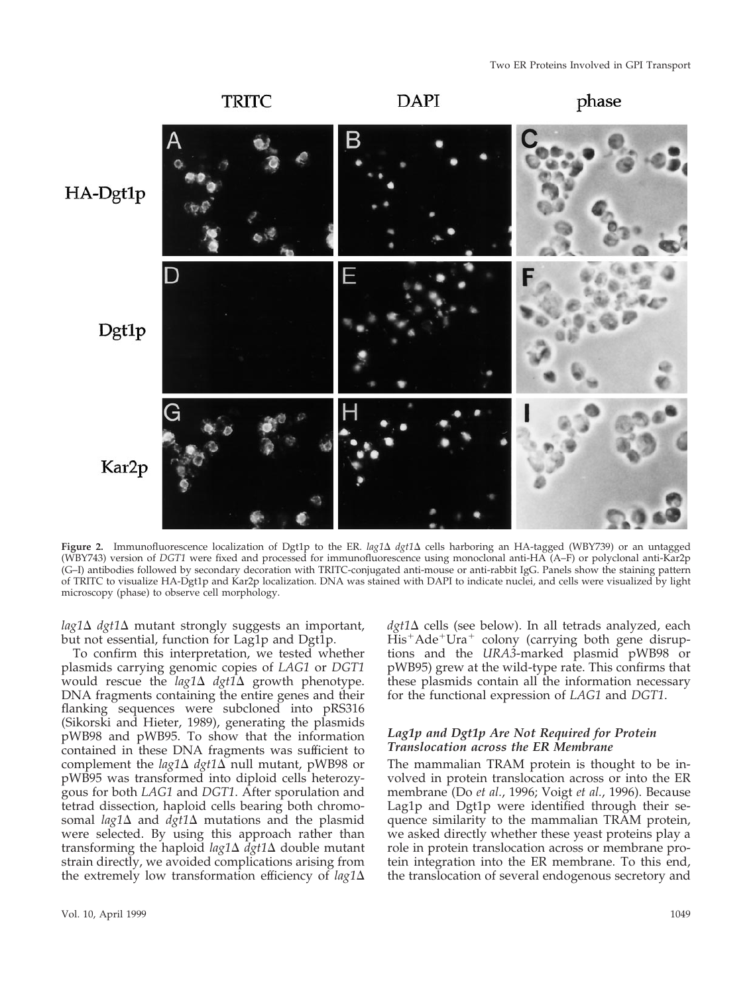

**Figure 2.** Immunofluorescence localization of Dgt1p to the ER. *lag1*D *dgt1*D cells harboring an HA-tagged (WBY739) or an untagged (WBY743) version of *DGT1* were fixed and processed for immunofluorescence using monoclonal anti-HA (A–F) or polyclonal anti-Kar2p (G–I) antibodies followed by secondary decoration with TRITC-conjugated anti-mouse or anti-rabbit IgG. Panels show the staining pattern of TRITC to visualize HA-Dgt1p and Kar2p localization. DNA was stained with DAPI to indicate nuclei, and cells were visualized by light microscopy (phase) to observe cell morphology.

 $lag1\Delta$   $dgt1\Delta$  mutant strongly suggests an important, but not essential, function for Lag1p and Dgt1p.

To confirm this interpretation, we tested whether plasmids carrying genomic copies of *LAG1* or *DGT1* would rescue the *lag1* $\Delta$  *dgt1* $\Delta$  growth phenotype. DNA fragments containing the entire genes and their flanking sequences were subcloned into pRS316 (Sikorski and Hieter, 1989), generating the plasmids pWB98 and pWB95. To show that the information contained in these DNA fragments was sufficient to complement the  $lag1\Delta$   $dy1\Delta$  null mutant, pWB98 or pWB95 was transformed into diploid cells heterozygous for both *LAG1* and *DGT1*. After sporulation and tetrad dissection, haploid cells bearing both chromosomal  $lag1\Delta$  and  $dg1\Delta$  mutations and the plasmid were selected. By using this approach rather than transforming the haploid *lag1*D *dgt1*D double mutant strain directly, we avoided complications arising from the extremely low transformation efficiency of  $lag1\Delta$ 

volved in protein translocation across or into the ER membrane (Do *et al.*, 1996; Voigt *et al.*, 1996). Because Lag1p and Dgt1p were identified through their se-

quence similarity to the mammalian TRAM protein, we asked directly whether these yeast proteins play a role in protein translocation across or membrane protein integration into the ER membrane. To this end, the translocation of several endogenous secretory and

The mammalian TRAM protein is thought to be in-

 $dgt1\Delta$  cells (see below). In all tetrads analyzed, each  $His<sup>+</sup> Ade<sup>+</sup>Ura<sup>+</sup>$  colony (carrying both gene disruptions and the *URA3*-marked plasmid pWB98 or pWB95) grew at the wild-type rate. This confirms that these plasmids contain all the information necessary for the functional expression of *LAG1* and *DGT1*.

*Lag1p and Dgt1p Are Not Required for Protein*

*Translocation across the ER Membrane*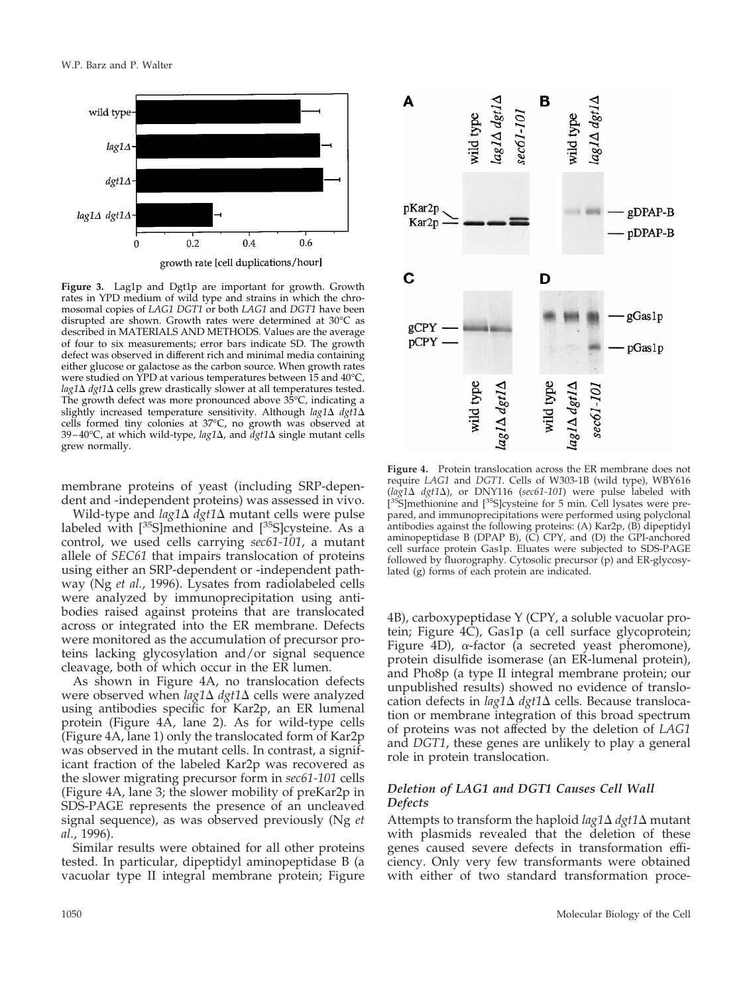

**Figure 3.** Lag1p and Dgt1p are important for growth. Growth rates in YPD medium of wild type and strains in which the chromosomal copies of *LAG1 DGT1* or both *LAG1* and *DGT1* have been disrupted are shown. Growth rates were determined at 30°C as described in MATERIALS AND METHODS. Values are the average of four to six measurements; error bars indicate SD. The growth defect was observed in different rich and minimal media containing either glucose or galactose as the carbon source. When growth rates were studied on YPD at various temperatures between 15 and 40°C,  $lag1\Delta$  *dgt1* $\Delta$  cells grew drastically slower at all temperatures tested. The growth defect was more pronounced above 35°C, indicating a slightly increased temperature sensitivity. Although *lag1*  $\Delta$  *dgt1*  $\Delta$ cells formed tiny colonies at 37°C, no growth was observed at 39–40°C, at which wild-type, *lag1*D, and *dgt1*D single mutant cells grew normally.

membrane proteins of yeast (including SRP-dependent and -independent proteins) was assessed in vivo.

Wild-type and *lag1*D *dgt1*D mutant cells were pulse labeled with  $[35S]$ methionine and  $[35S]$ cysteine. As a control, we used cells carrying *sec61-101*, a mutant allele of *SEC61* that impairs translocation of proteins using either an SRP-dependent or -independent pathway (Ng *et al.*, 1996). Lysates from radiolabeled cells were analyzed by immunoprecipitation using antibodies raised against proteins that are translocated across or integrated into the ER membrane. Defects were monitored as the accumulation of precursor proteins lacking glycosylation and/or signal sequence cleavage, both of which occur in the ER lumen.

As shown in Figure 4A, no translocation defects were observed when *lag1*∆ *dgt1*∆ cells were analyzed using antibodies specific for Kar2p, an ER lumenal protein (Figure 4A, lane 2). As for wild-type cells (Figure 4A, lane 1) only the translocated form of Kar2p was observed in the mutant cells. In contrast, a significant fraction of the labeled Kar2p was recovered as the slower migrating precursor form in *sec61-101* cells (Figure 4A, lane 3; the slower mobility of preKar2p in SDS-PAGE represents the presence of an uncleaved signal sequence), as was observed previously (Ng *et al.*, 1996).

Similar results were obtained for all other proteins tested. In particular, dipeptidyl aminopeptidase B (a vacuolar type II integral membrane protein; Figure



**Figure 4.** Protein translocation across the ER membrane does not require *LAG1* and *DGT1*. Cells of W303-1B (wild type), WBY616 (*lag1*D *dgt1*D), or DNY116 (*sec61-101*) were pulse labeled with [<sup>35</sup>S]methionine and [<sup>35</sup>S]cysteine for 5 min. Cell lysates were prepared, and immunoprecipitations were performed using polyclonal antibodies against the following proteins: (A) Kar2p, (B) dipeptidyl aminopeptidase B (DPAP B), (C) CPY, and (D) the GPI-anchored cell surface protein Gas1p. Eluates were subjected to SDS-PAGE followed by fluorography. Cytosolic precursor (p) and ER-glycosylated (g) forms of each protein are indicated.

4B), carboxypeptidase Y (CPY, a soluble vacuolar protein; Figure 4C), Gas1p (a cell surface glycoprotein; Figure 4D),  $\alpha$ -factor (a secreted yeast pheromone), protein disulfide isomerase (an ER-lumenal protein), and Pho8p (a type II integral membrane protein; our unpublished results) showed no evidence of translocation defects in *lag1*D *dgt1*D cells. Because translocation or membrane integration of this broad spectrum of proteins was not affected by the deletion of *LAG1* and *DGT1*, these genes are unlikely to play a general role in protein translocation.

#### *Deletion of LAG1 and DGT1 Causes Cell Wall Defects*

Attempts to transform the haploid *lag1*D *dgt1*D mutant with plasmids revealed that the deletion of these genes caused severe defects in transformation efficiency. Only very few transformants were obtained with either of two standard transformation proce-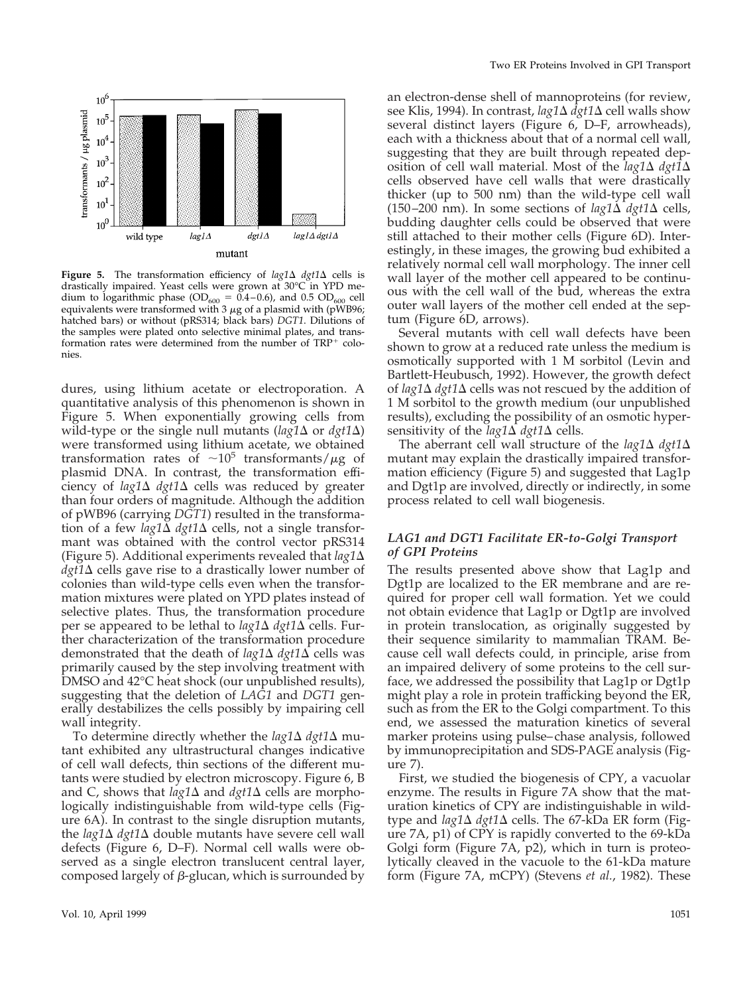

**Figure 5.** The transformation efficiency of  $lag1\Delta$  *dgt1* $\Delta$  cells is drastically impaired. Yeast cells were grown at 30°C in YPD medium to logarithmic phase (OD<sub>600</sub> = 0.4–0.6), and 0.5 OD<sub>600</sub> cell equivalents were transformed with  $3 \mu$ g of a plasmid with (pWB96; hatched bars) or without (pRS314; black bars) *DGT1*. Dilutions of the samples were plated onto selective minimal plates, and transformation rates were determined from the number of  $TRP<sup>+</sup>$  colonies.

dures, using lithium acetate or electroporation. A quantitative analysis of this phenomenon is shown in Figure 5. When exponentially growing cells from wild-type or the single null mutants ( $\log 1\Delta$  or  $\frac{dq}{1\Delta}$ ) were transformed using lithium acetate, we obtained transformation rates of  $\sim 10^5$  transformants/ $\mu$ g of plasmid DNA. In contrast, the transformation efficiency of  $\log 1\Delta$   $\frac{dq}{1\Delta}$  cells was reduced by greater than four orders of magnitude. Although the addition of pWB96 (carrying *DGT1*) resulted in the transformation of a few *lag1* $\Delta$  *dgt1* $\Delta$  cells, not a single transformant was obtained with the control vector pRS314 (Figure 5). Additional experiments revealed that  $lag1\Delta$  $dgt1\Delta$  cells gave rise to a drastically lower number of colonies than wild-type cells even when the transformation mixtures were plated on YPD plates instead of selective plates. Thus, the transformation procedure per se appeared to be lethal to  $lag1\Delta$  *dgt1* $\Delta$  cells. Further characterization of the transformation procedure demonstrated that the death of *lag1* $\Delta$  *dgt1* $\Delta$  cells was primarily caused by the step involving treatment with DMSO and 42°C heat shock (our unpublished results), suggesting that the deletion of *LAG1* and *DGT1* generally destabilizes the cells possibly by impairing cell wall integrity.

To determine directly whether the  $lag1\Delta$   $dy1\Delta$  mutant exhibited any ultrastructural changes indicative of cell wall defects, thin sections of the different mutants were studied by electron microscopy. Figure 6, B and C, shows that  $lag1\Delta$  and  $dg1\Delta$  cells are morphologically indistinguishable from wild-type cells (Figure 6A). In contrast to the single disruption mutants, the  $lag1\Delta$   $dg1\Delta$  double mutants have severe cell wall defects (Figure 6, D–F). Normal cell walls were observed as a single electron translucent central layer, composed largely of  $\beta$ -glucan, which is surrounded by an electron-dense shell of mannoproteins (for review, see Klis, 1994). In contrast, *lag1* $\Delta$  *dgt1* $\Delta$  cell walls show several distinct layers (Figure 6, D–F, arrowheads), each with a thickness about that of a normal cell wall, suggesting that they are built through repeated deposition of cell wall material. Most of the  $lag1\Delta$   $dg\overline{t}$ cells observed have cell walls that were drastically thicker (up to 500 nm) than the wild-type cell wall (150–200 nm). In some sections of  $la2\Delta dgt1\Delta$  cells, budding daughter cells could be observed that were still attached to their mother cells (Figure 6D). Interestingly, in these images, the growing bud exhibited a relatively normal cell wall morphology. The inner cell wall layer of the mother cell appeared to be continuous with the cell wall of the bud, whereas the extra outer wall layers of the mother cell ended at the septum (Figure 6D, arrows).

Several mutants with cell wall defects have been shown to grow at a reduced rate unless the medium is osmotically supported with 1 M sorbitol (Levin and Bartlett-Heubusch, 1992). However, the growth defect of  $\log 1\Delta$  *dgt*1 $\Delta$  cells was not rescued by the addition of 1 M sorbitol to the growth medium (our unpublished results), excluding the possibility of an osmotic hypersensitivity of the  $lag1\Delta$  *dgt1* $\Delta$  cells.

The aberrant cell wall structure of the  $lag1\Delta$   $dy1\Delta$ mutant may explain the drastically impaired transformation efficiency (Figure 5) and suggested that Lag1p and Dgt1p are involved, directly or indirectly, in some process related to cell wall biogenesis.

#### *LAG1 and DGT1 Facilitate ER-to-Golgi Transport of GPI Proteins*

The results presented above show that Lag1p and Dgt1p are localized to the ER membrane and are required for proper cell wall formation. Yet we could not obtain evidence that Lag1p or Dgt1p are involved in protein translocation, as originally suggested by their sequence similarity to mammalian TRAM. Because cell wall defects could, in principle, arise from an impaired delivery of some proteins to the cell surface, we addressed the possibility that Lag1p or Dgt1p might play a role in protein trafficking beyond the ER, such as from the ER to the Golgi compartment. To this end, we assessed the maturation kinetics of several marker proteins using pulse–chase analysis, followed by immunoprecipitation and SDS-PAGE analysis (Figure 7).

First, we studied the biogenesis of CPY, a vacuolar enzyme. The results in Figure 7A show that the maturation kinetics of CPY are indistinguishable in wildtype and *lag1*∆ *dgt1*∆ cells. The 67-kDa ER form (Figure 7A, p1) of CPY is rapidly converted to the 69-kDa Golgi form (Figure 7A, p2), which in turn is proteolytically cleaved in the vacuole to the 61-kDa mature form (Figure 7A, mCPY) (Stevens *et al.*, 1982). These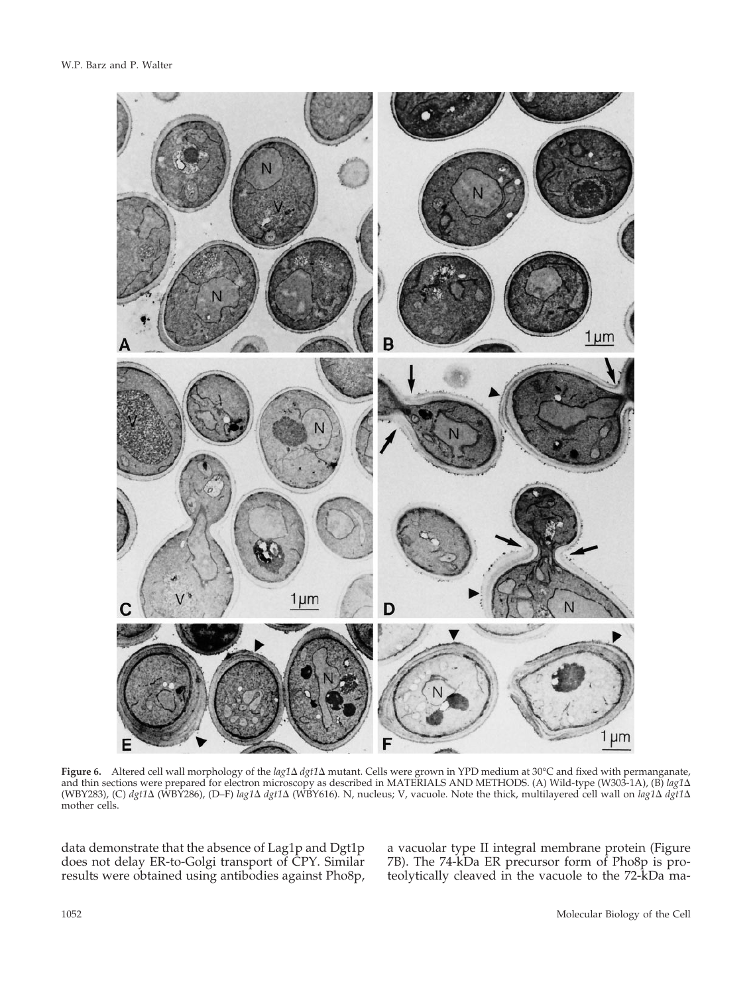

**Figure 6.** Altered cell wall morphology of the *lag1*  $\Delta$  *dgt1*  $\Delta$  mutant. Cells were grown in YPD medium at 30°C and fixed with permanganate, and thin sections were prepared for electron microscopy as described in MATERIALS AND METHODS. (A) Wild-type (W303-1A), (B) *lag1*D (WBY283), (C) *dgt1*D (WBY286), (D–F) *lag1*D *dgt1*D (WBY616). N, nucleus; V, vacuole. Note the thick, multilayered cell wall on *lag1*D *dgt1*D mother cells.

data demonstrate that the absence of Lag1p and Dgt1p does not delay ER-to-Golgi transport of CPY. Similar results were obtained using antibodies against Pho8p, a vacuolar type II integral membrane protein (Figure 7B). The 74-kDa ER precursor form of Pho8p is proteolytically cleaved in the vacuole to the 72-kDa ma-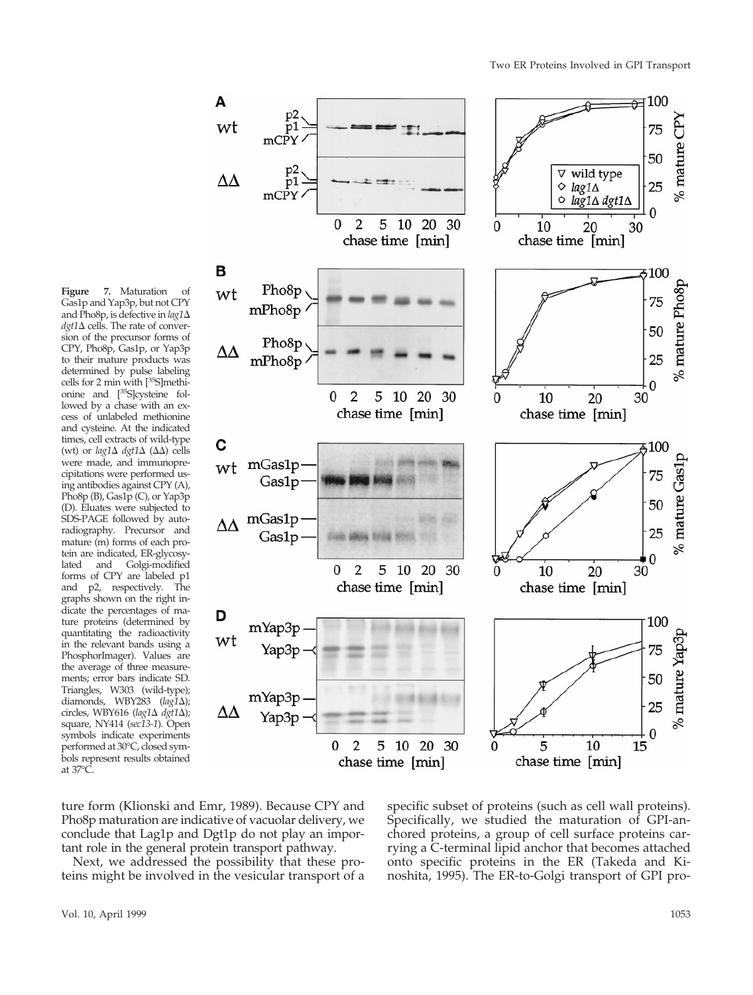% mature  $CPY$ 

% mature Pho8p

mature Gas1p

 $\%$ 

mature Yap3p

 $%$ 



**Figure 7.** Maturation of Gas1p and Yap3p, but not CPY and Pho8p, is defective in  $lag1\Delta$  $dgt1\Delta$  cells. The rate of conversion of the precursor forms of CPY, Pho8p, Gas1p, or Yap3p to their mature products was determined by pulse labeling cells for 2 min with [35S]methionine and [35S]cysteine followed by a chase with an excess of unlabeled methionine and cysteine. At the indicated times, cell extracts of wild-type (wt) or  $lag1\Delta$  *dgt1* $\Delta$  ( $\Delta\Delta$ ) cells were made, and immunoprecipitations were performed using antibodies against CPY (A), Pho8p (B), Gas1p (C), or Yap3p (D). Eluates were subjected to SDS-PAGE followed by autoradiography. Precursor and mature (m) forms of each protein are indicated, ER-glycosylated and Golgi-modified forms of CPY are labeled p1 and p2, respectively. The graphs shown on the right indicate the percentages of mature proteins (determined by quantitating the radioactivity in the relevant bands using a PhosphorImager). Values are the average of three measurements; error bars indicate SD. Triangles, W303 (wild-type); diamonds, WBY283 (*lag1*D); circles, WBY616 (lag1 $\Delta$  *dgt1* $\Delta$ ); square, NY414 (*sec13-1*). Open symbols indicate experiments performed at 30°C, closed symbols represent results obtained at 37°C.

ture form (Klionski and Emr, 1989). Because CPY and Pho8p maturation are indicative of vacuolar delivery, we conclude that Lag1p and Dgt1p do not play an important role in the general protein transport pathway.

Next, we addressed the possibility that these proteins might be involved in the vesicular transport of a

specific subset of proteins (such as cell wall proteins). Specifically, we studied the maturation of GPI-anchored proteins, a group of cell surface proteins carrying a C-terminal lipid anchor that becomes attached onto specific proteins in the ER (Takeda and Kinoshita, 1995). The ER-to-Golgi transport of GPI pro-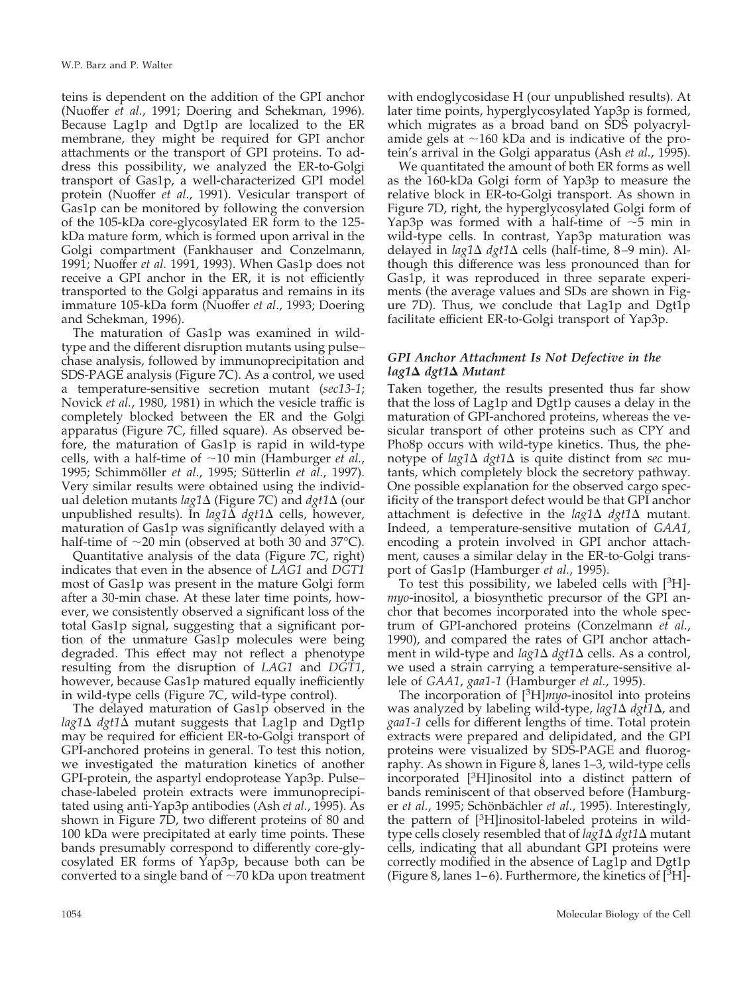teins is dependent on the addition of the GPI anchor (Nuoffer *et al.*, 1991; Doering and Schekman, 1996). Because Lag1p and Dgt1p are localized to the ER membrane, they might be required for GPI anchor attachments or the transport of GPI proteins. To address this possibility, we analyzed the ER-to-Golgi transport of Gas1p, a well-characterized GPI model protein (Nuoffer *et al.*, 1991). Vesicular transport of Gas1p can be monitored by following the conversion of the 105-kDa core-glycosylated ER form to the 125 kDa mature form, which is formed upon arrival in the Golgi compartment (Fankhauser and Conzelmann, 1991; Nuoffer *et al.* 1991, 1993). When Gas1p does not receive a GPI anchor in the ER, it is not efficiently transported to the Golgi apparatus and remains in its immature 105-kDa form (Nuoffer *et al.*, 1993; Doering and Schekman, 1996).

The maturation of Gas1p was examined in wildtype and the different disruption mutants using pulse– chase analysis, followed by immunoprecipitation and SDS-PAGE analysis (Figure 7C). As a control, we used a temperature-sensitive secretion mutant (*sec13-1*; Novick *et al.*, 1980, 1981) in which the vesicle traffic is completely blocked between the ER and the Golgi apparatus (Figure 7C, filled square). As observed before, the maturation of Gas1p is rapid in wild-type cells, with a half-time of  $\sim 10$  min (Hamburger *et al.*, 1995; Schimmöller *et al.*, 1995; Sütterlin *et al.*, 1997). Very similar results were obtained using the individual deletion mutants *lag1*D (Figure 7C) and *dgt1*D (our unpublished results). In  $lag1\Delta$  *dgt1* $\Delta$  cells, however, maturation of Gas1p was significantly delayed with a half-time of  $\sim$ 20 min (observed at both 30 and 37 $^{\circ}$ C).

Quantitative analysis of the data (Figure 7C, right) indicates that even in the absence of *LAG1* and *DGT1* most of Gas1p was present in the mature Golgi form after a 30-min chase. At these later time points, however, we consistently observed a significant loss of the total Gas1p signal, suggesting that a significant portion of the unmature Gas1p molecules were being degraded. This effect may not reflect a phenotype resulting from the disruption of *LAG1* and *DGT1*, however, because Gas1p matured equally inefficiently in wild-type cells (Figure 7C, wild-type control).

The delayed maturation of Gas1p observed in the  $lag1\Delta$  *dgt1* $\Delta$  mutant suggests that Lag1p and Dgt1p may be required for efficient ER-to-Golgi transport of GPI-anchored proteins in general. To test this notion, we investigated the maturation kinetics of another GPI-protein, the aspartyl endoprotease Yap3p. Pulse– chase-labeled protein extracts were immunoprecipitated using anti-Yap3p antibodies (Ash *et al.*, 1995). As shown in Figure 7D, two different proteins of 80 and 100 kDa were precipitated at early time points. These bands presumably correspond to differently core-glycosylated ER forms of Yap3p, because both can be converted to a single band of  $\sim$ 70 kDa upon treatment

with endoglycosidase H (our unpublished results). At later time points, hyperglycosylated Yap3p is formed, which migrates as a broad band on SDS polyacrylamide gels at  $\sim$ 160 kDa and is indicative of the protein's arrival in the Golgi apparatus (Ash *et al.*, 1995).

We quantitated the amount of both ER forms as well as the 160-kDa Golgi form of Yap3p to measure the relative block in ER-to-Golgi transport. As shown in Figure 7D, right, the hyperglycosylated Golgi form of Yap3p was formed with a half-time of  $\sim$ 5 min in wild-type cells. In contrast, Yap3p maturation was delayed in *lag1*∆ *dgt1*∆ cells (half-time, 8–9 min). Although this difference was less pronounced than for Gas1p, it was reproduced in three separate experiments (the average values and SDs are shown in Figure 7D). Thus, we conclude that Lag1p and Dgt1p facilitate efficient ER-to-Golgi transport of Yap3p.

#### *GPI Anchor Attachment Is Not Defective in the lag1*D *dgt1*D *Mutant*

Taken together, the results presented thus far show that the loss of Lag1p and Dgt1p causes a delay in the maturation of GPI-anchored proteins, whereas the vesicular transport of other proteins such as CPY and Pho8p occurs with wild-type kinetics. Thus, the phenotype of  $lag1\Delta$   $dy1\Delta$  is quite distinct from *sec* mutants, which completely block the secretory pathway. One possible explanation for the observed cargo specificity of the transport defect would be that GPI anchor attachment is defective in the  $lag1\Delta$   $dy1\Delta$  mutant. Indeed, a temperature-sensitive mutation of *GAA1*, encoding a protein involved in GPI anchor attachment, causes a similar delay in the ER-to-Golgi transport of Gas1p (Hamburger *et al.*, 1995).

To test this possibility, we labeled cells with [3 H] *myo*-inositol, a biosynthetic precursor of the GPI anchor that becomes incorporated into the whole spectrum of GPI-anchored proteins (Conzelmann *et al.*, 1990), and compared the rates of GPI anchor attachment in wild-type and *lag1*∆ *dgt1*∆ cells. As a control, we used a strain carrying a temperature-sensitive allele of *GAA1*, *gaa1-1* (Hamburger *et al.*, 1995).

The incorporation of [3 H]*myo*-inositol into proteins was analyzed by labeling wild-type, *lag1*Δ *dgt1*Δ, and *gaa1-1* cells for different lengths of time. Total protein extracts were prepared and delipidated, and the GPI proteins were visualized by SDS-PAGE and fluorography. As shown in Figure 8, lanes 1–3, wild-type cells incorporated [3 H]inositol into a distinct pattern of bands reminiscent of that observed before (Hamburger *et al.*, 1995; Schönbächler *et al.*, 1995). Interestingly, the pattern of [3 H]inositol-labeled proteins in wildtype cells closely resembled that of *lag1*D *dgt1*D mutant cells, indicating that all abundant GPI proteins were correctly modified in the absence of Lag1p and Dgt1p (Figure 8, lanes 1–6). Furthermore, the kinetics of  $[^{3}H]$ -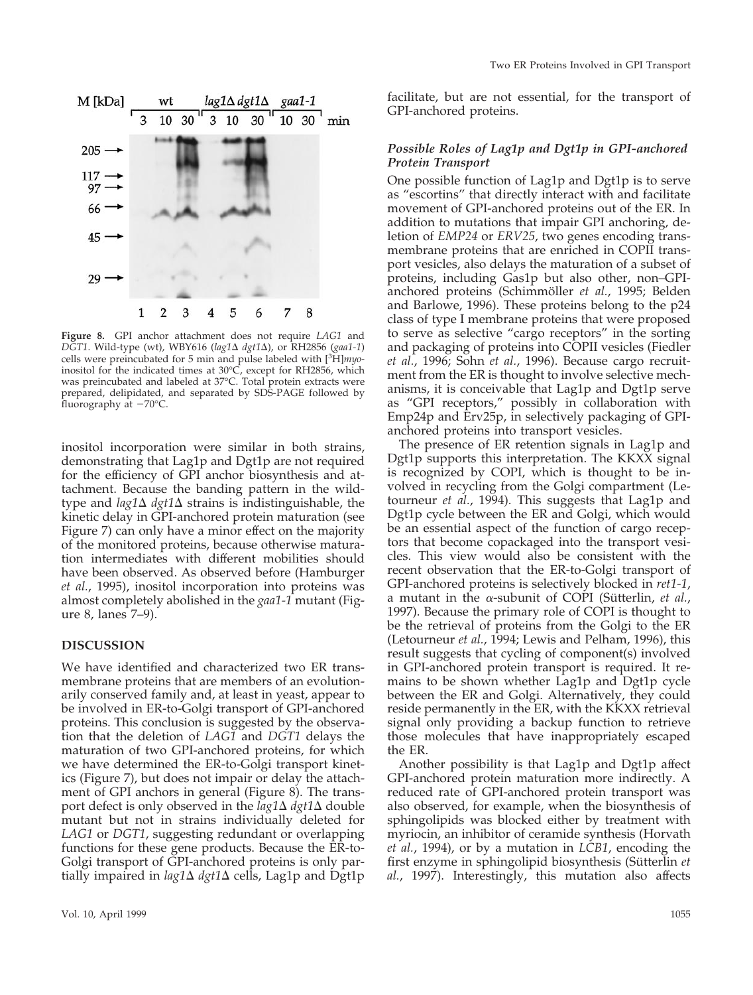

**Figure 8.** GPI anchor attachment does not require *LAG1* and *DGT1*. Wild-type (wt), WBY616 (*lag1*Δ *dgt1*Δ), or RH2856 (*gaa1-1*) cells were preincubated for 5 min and pulse labeled with [3 H]*myo*inositol for the indicated times at 30°C, except for RH2856, which was preincubated and labeled at 37°C. Total protein extracts were prepared, delipidated, and separated by SDS-PAGE followed by fluorography at  $-70^{\circ}$ C.

inositol incorporation were similar in both strains, demonstrating that Lag1p and Dgt1p are not required for the efficiency of GPI anchor biosynthesis and attachment. Because the banding pattern in the wildtype and  $lag1\Delta$   $dy1\Delta$  strains is indistinguishable, the kinetic delay in GPI-anchored protein maturation (see Figure 7) can only have a minor effect on the majority of the monitored proteins, because otherwise maturation intermediates with different mobilities should have been observed. As observed before (Hamburger *et al.*, 1995), inositol incorporation into proteins was almost completely abolished in the *gaa1-1* mutant (Figure 8, lanes 7–9).

#### **DISCUSSION**

We have identified and characterized two ER transmembrane proteins that are members of an evolutionarily conserved family and, at least in yeast, appear to be involved in ER-to-Golgi transport of GPI-anchored proteins. This conclusion is suggested by the observation that the deletion of *LAG1* and *DGT1* delays the maturation of two GPI-anchored proteins, for which we have determined the ER-to-Golgi transport kinetics (Figure 7), but does not impair or delay the attachment of GPI anchors in general (Figure 8). The transport defect is only observed in the  $lag1\Delta$   $dy1\Delta$  double mutant but not in strains individually deleted for *LAG1* or *DGT1*, suggesting redundant or overlapping functions for these gene products. Because the ER-to-Golgi transport of GPI-anchored proteins is only partially impaired in *lag1*D *dgt1*D cells, Lag1p and Dgt1p facilitate, but are not essential, for the transport of GPI-anchored proteins.

#### *Possible Roles of Lag1p and Dgt1p in GPI-anchored Protein Transport*

One possible function of Lag1p and Dgt1p is to serve as "escortins" that directly interact with and facilitate movement of GPI-anchored proteins out of the ER. In addition to mutations that impair GPI anchoring, deletion of *EMP24* or *ERV25*, two genes encoding transmembrane proteins that are enriched in COPII transport vesicles, also delays the maturation of a subset of proteins, including Gas1p but also other, non–GPIanchored proteins (Schimmöller et al., 1995; Belden and Barlowe, 1996). These proteins belong to the p24 class of type I membrane proteins that were proposed to serve as selective "cargo receptors" in the sorting and packaging of proteins into COPII vesicles (Fiedler *et al.*, 1996; Sohn *et al.*, 1996). Because cargo recruitment from the ER is thought to involve selective mechanisms, it is conceivable that Lag1p and Dgt1p serve as "GPI receptors," possibly in collaboration with Emp24p and Erv25p, in selectively packaging of GPIanchored proteins into transport vesicles.

The presence of ER retention signals in Lag1p and Dgt1p supports this interpretation. The KKXX signal is recognized by COPI, which is thought to be involved in recycling from the Golgi compartment (Letourneur *et al.*, 1994). This suggests that Lag1p and Dgt1p cycle between the ER and Golgi, which would be an essential aspect of the function of cargo receptors that become copackaged into the transport vesicles. This view would also be consistent with the recent observation that the ER-to-Golgi transport of GPI-anchored proteins is selectively blocked in *ret1-1*, a mutant in the  $\alpha$ -subunit of COPI (Sütterlin, *et al.*, 1997). Because the primary role of COPI is thought to be the retrieval of proteins from the Golgi to the ER (Letourneur *et al.*, 1994; Lewis and Pelham, 1996), this result suggests that cycling of component(s) involved in GPI-anchored protein transport is required. It remains to be shown whether Lag1p and Dgt1p cycle between the ER and Golgi. Alternatively, they could reside permanently in the ER, with the KKXX retrieval signal only providing a backup function to retrieve those molecules that have inappropriately escaped the ER.

Another possibility is that Lag1p and Dgt1p affect GPI-anchored protein maturation more indirectly. A reduced rate of GPI-anchored protein transport was also observed, for example, when the biosynthesis of sphingolipids was blocked either by treatment with myriocin, an inhibitor of ceramide synthesis (Horvath *et al.*, 1994), or by a mutation in *LCB1*, encoding the first enzyme in sphingolipid biosynthesis (Sütterlin et *al.*, 1997). Interestingly, this mutation also affects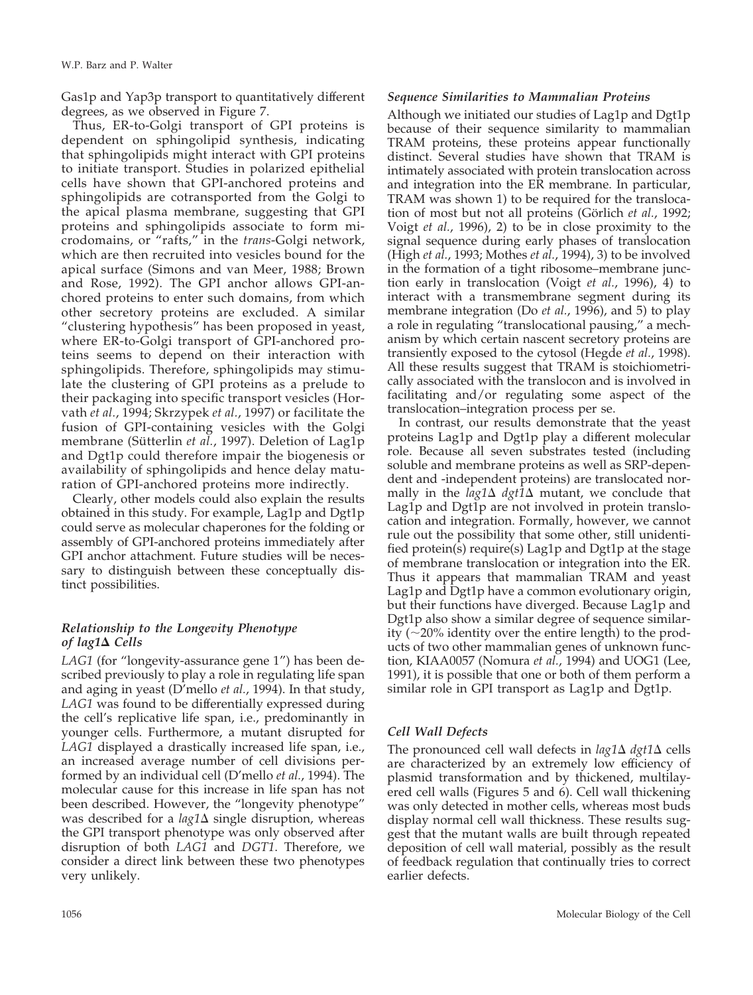Gas1p and Yap3p transport to quantitatively different degrees, as we observed in Figure 7.

Thus, ER-to-Golgi transport of GPI proteins is dependent on sphingolipid synthesis, indicating that sphingolipids might interact with GPI proteins to initiate transport. Studies in polarized epithelial cells have shown that GPI-anchored proteins and sphingolipids are cotransported from the Golgi to the apical plasma membrane, suggesting that GPI proteins and sphingolipids associate to form microdomains, or "rafts," in the *trans*-Golgi network, which are then recruited into vesicles bound for the apical surface (Simons and van Meer, 1988; Brown and Rose, 1992). The GPI anchor allows GPI-anchored proteins to enter such domains, from which other secretory proteins are excluded. A similar "clustering hypothesis" has been proposed in yeast, where ER-to-Golgi transport of GPI-anchored proteins seems to depend on their interaction with sphingolipids. Therefore, sphingolipids may stimulate the clustering of GPI proteins as a prelude to their packaging into specific transport vesicles (Horvath *et al.*, 1994; Skrzypek *et al.*, 1997) or facilitate the fusion of GPI-containing vesicles with the Golgi membrane (Sütterlin *et al.*, 1997). Deletion of Lag1p and Dgt1p could therefore impair the biogenesis or availability of sphingolipids and hence delay maturation of GPI-anchored proteins more indirectly.

Clearly, other models could also explain the results obtained in this study. For example, Lag1p and Dgt1p could serve as molecular chaperones for the folding or assembly of GPI-anchored proteins immediately after GPI anchor attachment. Future studies will be necessary to distinguish between these conceptually distinct possibilities.

# *Relationship to the Longevity Phenotype of lag1*D *Cells*

*LAG1* (for "longevity-assurance gene 1") has been described previously to play a role in regulating life span and aging in yeast (D'mello *et al.*, 1994). In that study, *LAG1* was found to be differentially expressed during the cell's replicative life span, i.e., predominantly in younger cells. Furthermore, a mutant disrupted for *LAG1* displayed a drastically increased life span, i.e., an increased average number of cell divisions performed by an individual cell (D'mello *et al.*, 1994). The molecular cause for this increase in life span has not been described. However, the "longevity phenotype" was described for a  $lag1\Delta$  single disruption, whereas the GPI transport phenotype was only observed after disruption of both *LAG1* and *DGT1*. Therefore, we consider a direct link between these two phenotypes very unlikely.

#### *Sequence Similarities to Mammalian Proteins*

Although we initiated our studies of Lag1p and Dgt1p because of their sequence similarity to mammalian TRAM proteins, these proteins appear functionally distinct. Several studies have shown that TRAM is intimately associated with protein translocation across and integration into the ER membrane. In particular, TRAM was shown 1) to be required for the translocation of most but not all proteins (Görlich *et al.*, 1992; Voigt *et al.*, 1996), 2) to be in close proximity to the signal sequence during early phases of translocation (High *et al.*, 1993; Mothes *et al.*, 1994), 3) to be involved in the formation of a tight ribosome–membrane junction early in translocation (Voigt *et al.*, 1996), 4) to interact with a transmembrane segment during its membrane integration (Do *et al.*, 1996), and 5) to play a role in regulating "translocational pausing," a mechanism by which certain nascent secretory proteins are transiently exposed to the cytosol (Hegde *et al.*, 1998). All these results suggest that TRAM is stoichiometrically associated with the translocon and is involved in facilitating and/or regulating some aspect of the translocation–integration process per se.

In contrast, our results demonstrate that the yeast proteins Lag1p and Dgt1p play a different molecular role. Because all seven substrates tested (including soluble and membrane proteins as well as SRP-dependent and -independent proteins) are translocated normally in the  $\log 1\Delta$   $\frac{dq}{1\Delta}$  mutant, we conclude that Lag1p and Dgt1p are not involved in protein translocation and integration. Formally, however, we cannot rule out the possibility that some other, still unidentified protein(s) require(s) Lag1p and Dgt1p at the stage of membrane translocation or integration into the ER. Thus it appears that mammalian TRAM and yeast Lag1p and Dgt1p have a common evolutionary origin, but their functions have diverged. Because Lag1p and Dgt1p also show a similar degree of sequence similarity ( $\sim$ 20% identity over the entire length) to the products of two other mammalian genes of unknown function, KIAA0057 (Nomura *et al.*, 1994) and UOG1 (Lee, 1991), it is possible that one or both of them perform a similar role in GPI transport as Lag1p and Dgt1p.

#### *Cell Wall Defects*

The pronounced cell wall defects in  $lag1\Delta$  *dgt1* $\Delta$  cells are characterized by an extremely low efficiency of plasmid transformation and by thickened, multilayered cell walls (Figures 5 and 6). Cell wall thickening was only detected in mother cells, whereas most buds display normal cell wall thickness. These results suggest that the mutant walls are built through repeated deposition of cell wall material, possibly as the result of feedback regulation that continually tries to correct earlier defects.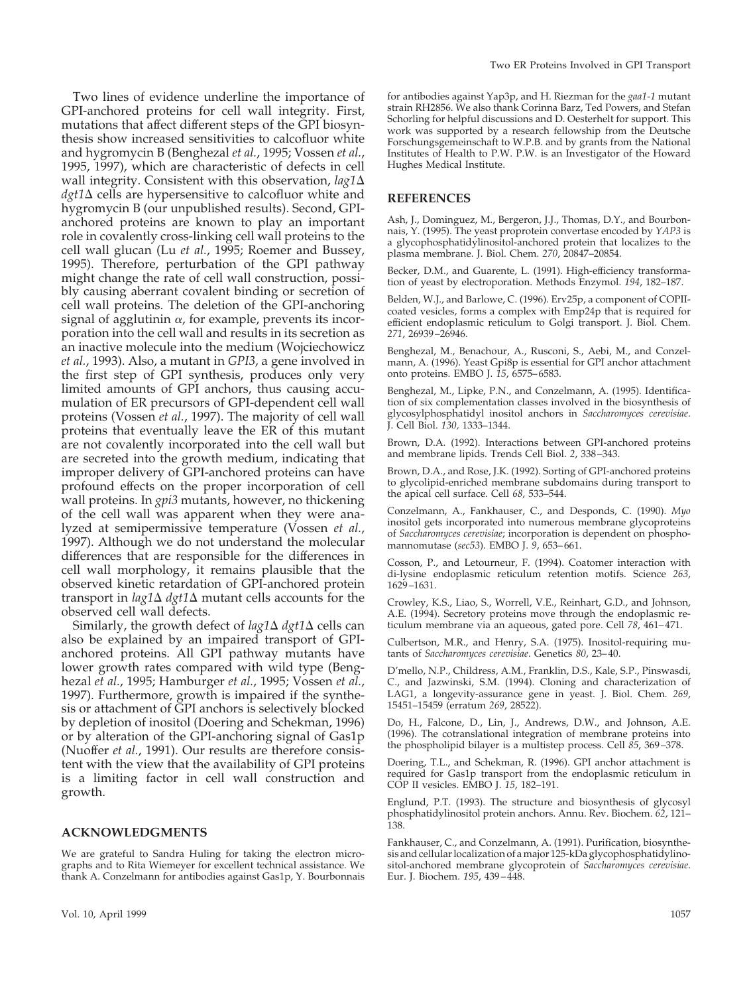Two lines of evidence underline the importance of GPI-anchored proteins for cell wall integrity. First, mutations that affect different steps of the GPI biosynthesis show increased sensitivities to calcofluor white and hygromycin B (Benghezal *et al.*, 1995; Vossen *et al.*, 1995, 1997), which are characteristic of defects in cell wall integrity. Consistent with this observation,  $lag1\Delta$  $dgt1\Delta$  cells are hypersensitive to calcofluor white and hygromycin B (our unpublished results). Second, GPIanchored proteins are known to play an important role in covalently cross-linking cell wall proteins to the cell wall glucan (Lu *et al.*, 1995; Roemer and Bussey, 1995). Therefore, perturbation of the GPI pathway might change the rate of cell wall construction, possibly causing aberrant covalent binding or secretion of cell wall proteins. The deletion of the GPI-anchoring signal of agglutinin  $\alpha$ , for example, prevents its incorporation into the cell wall and results in its secretion as an inactive molecule into the medium (Wojciechowicz *et al.*, 1993). Also, a mutant in *GPI3*, a gene involved in the first step of GPI synthesis, produces only very limited amounts of GPI anchors, thus causing accumulation of ER precursors of GPI-dependent cell wall proteins (Vossen *et al.*, 1997). The majority of cell wall proteins that eventually leave the ER of this mutant are not covalently incorporated into the cell wall but are secreted into the growth medium, indicating that improper delivery of GPI-anchored proteins can have profound effects on the proper incorporation of cell wall proteins. In *gpi3* mutants, however, no thickening of the cell wall was apparent when they were analyzed at semipermissive temperature (Vossen *et al.*, 1997). Although we do not understand the molecular differences that are responsible for the differences in cell wall morphology, it remains plausible that the observed kinetic retardation of GPI-anchored protein transport in  $\log 1\Delta \frac{dq}{1\Delta}$  mutant cells accounts for the observed cell wall defects.

Similarly, the growth defect of *lag1* $\Delta$  *dgt1* $\Delta$  cells can also be explained by an impaired transport of GPIanchored proteins. All GPI pathway mutants have lower growth rates compared with wild type (Benghezal *et al.*, 1995; Hamburger *et al.*, 1995; Vossen *et al.*, 1997). Furthermore, growth is impaired if the synthesis or attachment of GPI anchors is selectively blocked by depletion of inositol (Doering and Schekman, 1996) or by alteration of the GPI-anchoring signal of Gas1p (Nuoffer *et al.*, 1991). Our results are therefore consistent with the view that the availability of GPI proteins is a limiting factor in cell wall construction and growth.

#### **ACKNOWLEDGMENTS**

We are grateful to Sandra Huling for taking the electron micrographs and to Rita Wiemeyer for excellent technical assistance. We thank A. Conzelmann for antibodies against Gas1p, Y. Bourbonnais for antibodies against Yap3p, and H. Riezman for the *gaa1-1* mutant strain RH2856. We also thank Corinna Barz, Ted Powers, and Stefan Schorling for helpful discussions and D. Oesterhelt for support. This work was supported by a research fellowship from the Deutsche Forschungsgemeinschaft to W.P.B. and by grants from the National Institutes of Health to P.W. P.W. is an Investigator of the Howard Hughes Medical Institute.

#### **REFERENCES**

Ash, J., Dominguez, M., Bergeron, J.J., Thomas, D.Y., and Bourbonnais, Y. (1995). The yeast proprotein convertase encoded by *YAP3* is a glycophosphatidylinositol-anchored protein that localizes to the plasma membrane. J. Biol. Chem. *270*, 20847–20854.

Becker, D.M., and Guarente, L. (1991). High-efficiency transformation of yeast by electroporation. Methods Enzymol. *194*, 182–187.

Belden, W.J., and Barlowe, C. (1996). Erv25p, a component of COPIIcoated vesicles, forms a complex with Emp24p that is required for efficient endoplasmic reticulum to Golgi transport. J. Biol. Chem. *271*, 26939–26946.

Benghezal, M., Benachour, A., Rusconi, S., Aebi, M., and Conzelmann, A. (1996). Yeast Gpi8p is essential for GPI anchor attachment onto proteins. EMBO J. *15*, 6575–6583.

Benghezal, M., Lipke, P.N., and Conzelmann, A. (1995). Identification of six complementation classes involved in the biosynthesis of glycosylphosphatidyl inositol anchors in *Saccharomyces cerevisiae*. J. Cell Biol. *130,* 1333–1344.

Brown, D.A. (1992). Interactions between GPI-anchored proteins and membrane lipids. Trends Cell Biol. *2*, 338–343.

Brown, D.A., and Rose, J.K. (1992). Sorting of GPI-anchored proteins to glycolipid-enriched membrane subdomains during transport to the apical cell surface. Cell *68*, 533–544.

Conzelmann, A., Fankhauser, C., and Desponds, C. (1990). *Myo* inositol gets incorporated into numerous membrane glycoproteins of *Saccharomyces cerevisiae*; incorporation is dependent on phosphomannomutase (*sec53*). EMBO J. *9*, 653–661.

Cosson, P., and Letourneur, F. (1994). Coatomer interaction with di-lysine endoplasmic reticulum retention motifs. Science *263*, 1629–1631.

Crowley, K.S., Liao, S., Worrell, V.E., Reinhart, G.D., and Johnson, A.E. (1994). Secretory proteins move through the endoplasmic reticulum membrane via an aqueous, gated pore. Cell *78*, 461–471.

Culbertson, M.R., and Henry, S.A. (1975). Inositol-requiring mutants of *Saccharomyces cerevisiae*. Genetics *80*, 23–40.

D'mello, N.P., Childress, A.M., Franklin, D.S., Kale, S.P., Pinswasdi, C., and Jazwinski, S.M. (1994). Cloning and characterization of LAG1, a longevity-assurance gene in yeast. J. Biol. Chem. *269*, 15451–15459 (erratum *269*, 28522).

Do, H., Falcone, D., Lin, J., Andrews, D.W., and Johnson, A.E. (1996). The cotranslational integration of membrane proteins into the phospholipid bilayer is a multistep process. Cell *85*, 369–378.

Doering, T.L., and Schekman, R. (1996). GPI anchor attachment is required for Gas1p transport from the endoplasmic reticulum in COP II vesicles. EMBO J. *15*, 182–191.

Englund, P.T. (1993). The structure and biosynthesis of glycosyl phosphatidylinositol protein anchors. Annu. Rev. Biochem. *62*, 121– 138.

Fankhauser, C., and Conzelmann, A. (1991). Purification, biosynthesis and cellular localization of a major 125-kDa glycophosphatidylinositol-anchored membrane glycoprotein of *Saccharomyces cerevisiae*. Eur. J. Biochem. *195*, 439–448.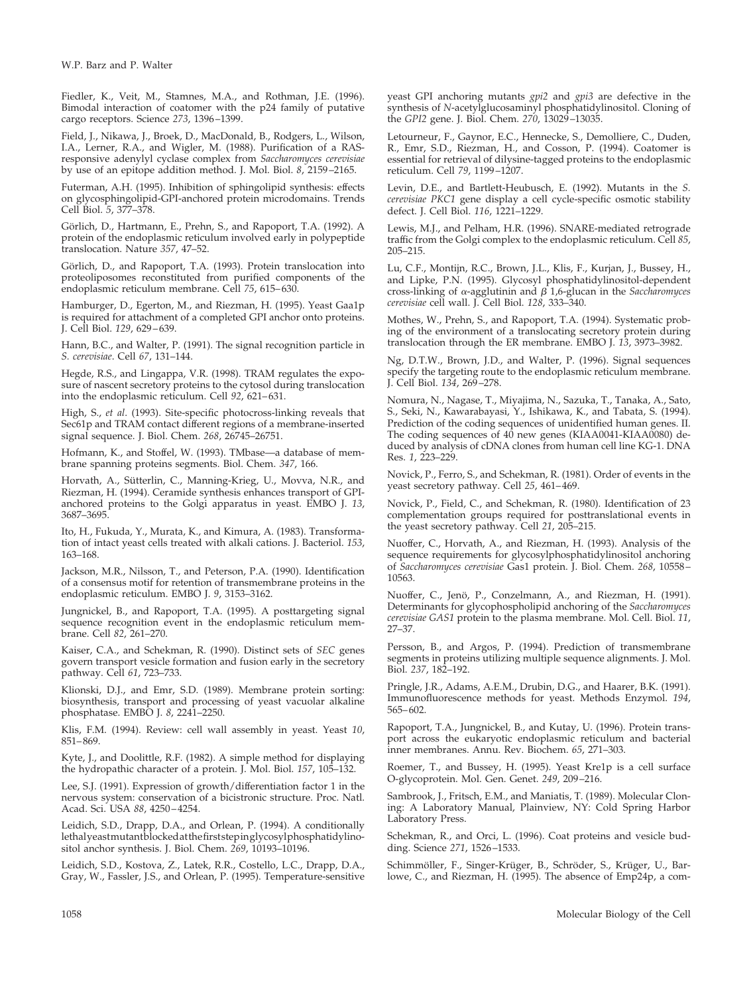Fiedler, K., Veit, M., Stamnes, M.A., and Rothman, J.E. (1996). Bimodal interaction of coatomer with the p24 family of putative cargo receptors. Science *273*, 1396–1399.

Field, J., Nikawa, J., Broek, D., MacDonald, B., Rodgers, L., Wilson, I.A., Lerner, R.A., and Wigler, M. (1988). Purification of a RASresponsive adenylyl cyclase complex from *Saccharomyces cerevisiae* by use of an epitope addition method. J. Mol. Biol. *8*, 2159–2165.

Futerman, A.H. (1995). Inhibition of sphingolipid synthesis: effects on glycosphingolipid-GPI-anchored protein microdomains. Trends Cell Biol. *5*, 377–378.

Görlich, D., Hartmann, E., Prehn, S., and Rapoport, T.A. (1992). A protein of the endoplasmic reticulum involved early in polypeptide translocation. Nature *357*, 47–52.

Görlich, D., and Rapoport, T.A. (1993). Protein translocation into proteoliposomes reconstituted from purified components of the endoplasmic reticulum membrane. Cell *75*, 615–630.

Hamburger, D., Egerton, M., and Riezman, H. (1995). Yeast Gaa1p is required for attachment of a completed GPI anchor onto proteins. J. Cell Biol. *129*, 629–639.

Hann, B.C., and Walter, P. (1991). The signal recognition particle in *S. cerevisiae*. Cell *67*, 131–144.

Hegde, R.S., and Lingappa, V.R. (1998). TRAM regulates the exposure of nascent secretory proteins to the cytosol during translocation into the endoplasmic reticulum. Cell *92*, 621–631.

High, S., *et al*. (1993). Site-specific photocross-linking reveals that Sec61p and TRAM contact different regions of a membrane-inserted signal sequence. J. Biol. Chem. *268*, 26745–26751.

Hofmann, K., and Stoffel, W. (1993). TMbase—a database of membrane spanning proteins segments. Biol. Chem. *347*, 166.

Horvath, A., Sütterlin, C., Manning-Krieg, U., Movva, N.R., and Riezman, H. (1994). Ceramide synthesis enhances transport of GPIanchored proteins to the Golgi apparatus in yeast. EMBO J. *13*, 3687–3695.

Ito, H., Fukuda, Y., Murata, K., and Kimura, A. (1983). Transformation of intact yeast cells treated with alkali cations. J. Bacteriol. *153*, 163–168.

Jackson, M.R., Nilsson, T., and Peterson, P.A. (1990). Identification of a consensus motif for retention of transmembrane proteins in the endoplasmic reticulum. EMBO J. *9*, 3153–3162.

Jungnickel, B., and Rapoport, T.A. (1995). A posttargeting signal sequence recognition event in the endoplasmic reticulum membrane. Cell *82*, 261–270.

Kaiser, C.A., and Schekman, R. (1990). Distinct sets of *SEC* genes govern transport vesicle formation and fusion early in the secretory pathway. Cell *61*, 723–733.

Klionski, D.J., and Emr, S.D. (1989). Membrane protein sorting: biosynthesis, transport and processing of yeast vacuolar alkaline phosphatase. EMBO J. *8*, 2241–2250.

Klis, F.M. (1994). Review: cell wall assembly in yeast. Yeast *10*, 851–869.

Kyte, J., and Doolittle, R.F. (1982). A simple method for displaying the hydropathic character of a protein. J. Mol. Biol. *157*, 105–132.

Lee, S.J. (1991). Expression of growth/differentiation factor 1 in the nervous system: conservation of a bicistronic structure. Proc. Natl. Acad. Sci. USA *88*, 4250–4254.

Leidich, S.D., Drapp, D.A., and Orlean, P. (1994). A conditionally lethalyeastmutantblockedatthefirststepinglycosylphosphatidylinositol anchor synthesis. J. Biol. Chem. *269*, 10193–10196.

Leidich, S.D., Kostova, Z., Latek, R.R., Costello, L.C., Drapp, D.A., Gray, W., Fassler, J.S., and Orlean, P. (1995). Temperature-sensitive yeast GPI anchoring mutants *gpi2* and *gpi3* are defective in the synthesis of *N*-acetylglucosaminyl phosphatidylinositol. Cloning of the *GPI2* gene. J. Biol. Chem. *270*, 13029–13035.

Letourneur, F., Gaynor, E.C., Hennecke, S., Demolliere, C., Duden, R., Emr, S.D., Riezman, H., and Cosson, P. (1994). Coatomer is essential for retrieval of dilysine-tagged proteins to the endoplasmic reticulum. Cell *79*, 1199–1207.

Levin, D.E., and Bartlett-Heubusch, E. (1992). Mutants in the *S. cerevisiae PKC1* gene display a cell cycle-specific osmotic stability defect. J. Cell Biol. *116*, 1221–1229.

Lewis, M.J., and Pelham, H.R. (1996). SNARE-mediated retrograde traffic from the Golgi complex to the endoplasmic reticulum. Cell *85*, 205–215.

Lu, C.F., Montijn, R.C., Brown, J.L., Klis, F., Kurjan, J., Bussey, H., and Lipke, P.N. (1995). Glycosyl phosphatidylinositol-dependent cross-linking of  $\alpha$ -agglutinin and  $\beta$  1,6-glucan in the *Saccharomyces cerevisiae* cell wall. J. Cell Biol. *128*, 333–340.

Mothes, W., Prehn, S., and Rapoport, T.A. (1994). Systematic probing of the environment of a translocating secretory protein during translocation through the ER membrane. EMBO J. *13*, 3973–3982.

Ng, D.T.W., Brown, J.D., and Walter, P. (1996). Signal sequences specify the targeting route to the endoplasmic reticulum membrane. J. Cell Biol. *134*, 269–278.

Nomura, N., Nagase, T., Miyajima, N., Sazuka, T., Tanaka, A., Sato, S., Seki, N., Kawarabayasi, Y., Ishikawa, K., and Tabata, S. (1994). Prediction of the coding sequences of unidentified human genes. II. The coding sequences of 40 new genes (KIAA0041-KIAA0080) deduced by analysis of cDNA clones from human cell line KG-1. DNA Res. *1*, 223–229.

Novick, P., Ferro, S., and Schekman, R. (1981). Order of events in the yeast secretory pathway. Cell *25*, 461–469.

Novick, P., Field, C., and Schekman, R. (1980). Identification of 23 complementation groups required for posttranslational events in the yeast secretory pathway. Cell *21*, 205–215.

Nuoffer, C., Horvath, A., and Riezman, H. (1993). Analysis of the sequence requirements for glycosylphosphatidylinositol anchoring of *Saccharomyces cerevisiae* Gas1 protein. J. Biol. Chem. *268*, 10558– 10563.

Nuoffer, C., Jenö, P., Conzelmann, A., and Riezman, H. (1991). Determinants for glycophospholipid anchoring of the *Saccharomyces cerevisiae GAS1* protein to the plasma membrane. Mol. Cell. Biol. *11*, 27–37.

Persson, B., and Argos, P. (1994). Prediction of transmembrane segments in proteins utilizing multiple sequence alignments. J. Mol. Biol. *237*, 182–192.

Pringle, J.R., Adams, A.E.M., Drubin, D.G., and Haarer, B.K. (1991). Immunofluorescence methods for yeast. Methods Enzymol. *194*, 565–602.

Rapoport, T.A., Jungnickel, B., and Kutay, U. (1996). Protein transport across the eukaryotic endoplasmic reticulum and bacterial inner membranes. Annu. Rev. Biochem. *65*, 271–303.

Roemer, T., and Bussey, H. (1995). Yeast Kre1p is a cell surface O-glycoprotein. Mol. Gen. Genet. *249*, 209–216.

Sambrook, J., Fritsch, E.M., and Maniatis, T. (1989). Molecular Cloning: A Laboratory Manual, Plainview, NY: Cold Spring Harbor Laboratory Press.

Schekman, R., and Orci, L. (1996). Coat proteins and vesicle budding. Science *271*, 1526–1533.

Schimmöller, F., Singer-Krüger, B., Schröder, S., Krüger, U., Barlowe, C., and Riezman, H. (1995). The absence of Emp24p, a com